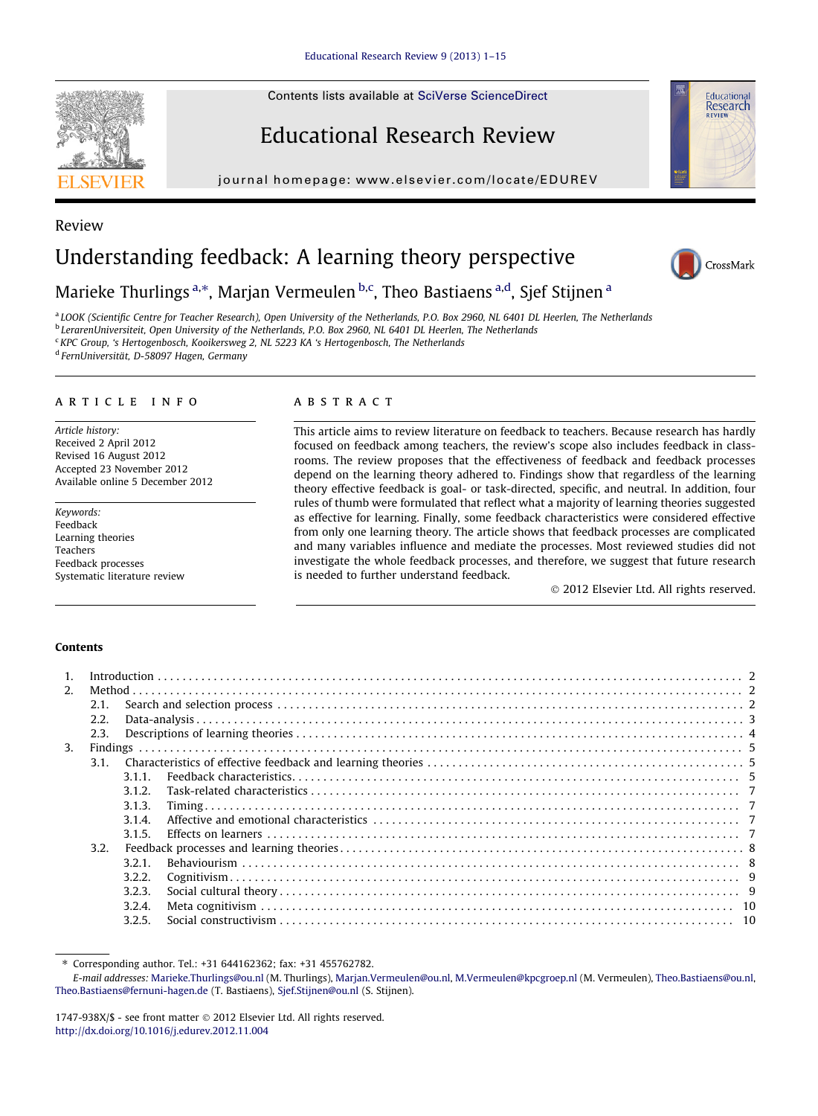Contents lists available at [SciVerse ScienceDirect](http://www.sciencedirect.com/science/journal/1747938X)

# Educational Research Review

journal homepage: [www.elsevier.com/locate/EDUREV](http://www.elsevier.com/locate/EDUREV)

# Understanding feedback: A learning theory perspective

Marieke Thurlings <sup>a,\*</sup>, Marjan Vermeulen <sup>b,c</sup>, Theo Bastiaens <sup>a,d</sup>, Sjef Stijnen <sup>a</sup>

<sup>a</sup> LOOK (Scientific Centre for Teacher Research), Open University of the Netherlands, P.O. Box 2960, NL 6401 DL Heerlen, The Netherlands <sup>b</sup> LerarenUniversiteit, Open University of the Netherlands, P.O. Box 2960, NL 6401 DL Heerlen, The Netherlands

<sup>c</sup> KPC Group, 's Hertogenbosch, Kooikersweg 2, NL 5223 KA 's Hertogenbosch, The Netherlands

<sup>d</sup> FernUniversität, D-58097 Hagen, Germany

# article info

Article history: Received 2 April 2012 Revised 16 August 2012 Accepted 23 November 2012 Available online 5 December 2012

Keywords: Feedback Learning theories Teachers Feedback processes Systematic literature review

# **ABSTRACT**

This article aims to review literature on feedback to teachers. Because research has hardly focused on feedback among teachers, the review's scope also includes feedback in classrooms. The review proposes that the effectiveness of feedback and feedback processes depend on the learning theory adhered to. Findings show that regardless of the learning theory effective feedback is goal- or task-directed, specific, and neutral. In addition, four rules of thumb were formulated that reflect what a majority of learning theories suggested as effective for learning. Finally, some feedback characteristics were considered effective from only one learning theory. The article shows that feedback processes are complicated and many variables influence and mediate the processes. Most reviewed studies did not investigate the whole feedback processes, and therefore, we suggest that future research is needed to further understand feedback.

- 2012 Elsevier Ltd. All rights reserved.

# Contents

| 1. |      |        |  |
|----|------|--------|--|
| 2. |      |        |  |
|    | 2.1. |        |  |
|    | 2.2. |        |  |
|    | 2.3. |        |  |
| 3. |      |        |  |
|    |      |        |  |
|    |      | 3.1.1  |  |
|    |      | 3.1.2  |  |
|    |      | 3.1.3. |  |
|    |      | 3.1.4  |  |
|    |      | 3.1.5  |  |
|    | 3.2. |        |  |
|    |      | 3.2.1  |  |
|    |      | 3.2.2. |  |
|    |      | 3.2.3. |  |
|    |      | 3.2.4. |  |
|    |      | 3.2.5. |  |

⇑ Corresponding author. Tel.: +31 644162362; fax: +31 455762782.



Review





E-mail addresses: [Marieke.Thurlings@ou.nl](mailto:Marieke.Thurlings@ou.nl) (M. Thurlings), [Marjan.Vermeulen@ou.nl,](mailto:Marjan.Vermeulen@ou.nl) [M.Vermeulen@kpcgroep.nl](mailto:M.Vermeulen@kpcgroep.nl) (M. Vermeulen), [Theo.Bastiaens@ou.nl,](mailto:Theo.Bastiaens@ou.nl) [Theo.Bastiaens@fernuni-hagen.de](mailto:Theo.Bastiaens@fernuni-hagen.de) (T. Bastiaens), [Sjef.Stijnen@ou.nl](mailto:Sjef.Stijnen@ou.nl) (S. Stijnen).

<sup>1747-938</sup>X/\$ - see front matter © 2012 Elsevier Ltd. All rights reserved. <http://dx.doi.org/10.1016/j.edurev.2012.11.004>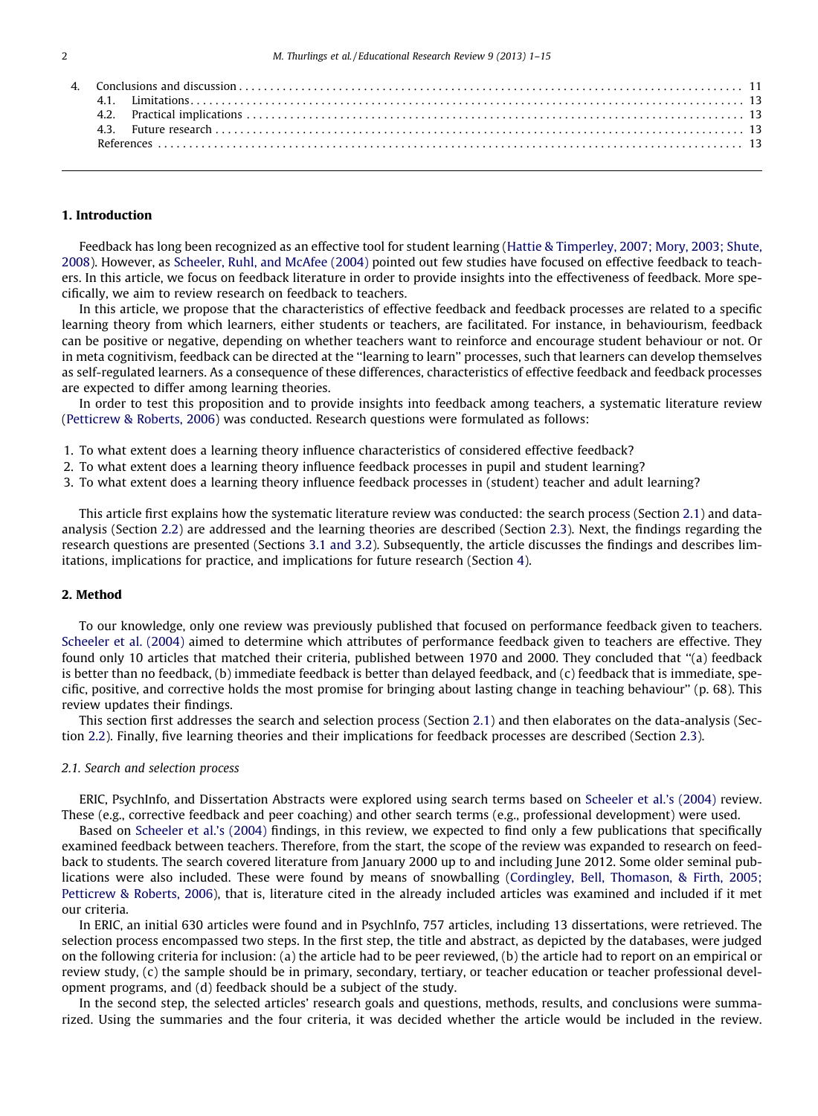# 1. Introduction

Feedback has long been recognized as an effective tool for student learning ([Hattie & Timperley, 2007; Mory, 2003; Shute,](#page-13-0) [2008](#page-13-0)). However, as [Scheeler, Ruhl, and McAfee \(2004\)](#page-14-0) pointed out few studies have focused on effective feedback to teachers. In this article, we focus on feedback literature in order to provide insights into the effectiveness of feedback. More specifically, we aim to review research on feedback to teachers.

In this article, we propose that the characteristics of effective feedback and feedback processes are related to a specific learning theory from which learners, either students or teachers, are facilitated. For instance, in behaviourism, feedback can be positive or negative, depending on whether teachers want to reinforce and encourage student behaviour or not. Or in meta cognitivism, feedback can be directed at the ''learning to learn'' processes, such that learners can develop themselves as self-regulated learners. As a consequence of these differences, characteristics of effective feedback and feedback processes are expected to differ among learning theories.

In order to test this proposition and to provide insights into feedback among teachers, a systematic literature review [\(Petticrew & Roberts, 2006](#page-14-0)) was conducted. Research questions were formulated as follows:

- 1. To what extent does a learning theory influence characteristics of considered effective feedback?
- 2. To what extent does a learning theory influence feedback processes in pupil and student learning?
- 3. To what extent does a learning theory influence feedback processes in (student) teacher and adult learning?

This article first explains how the systematic literature review was conducted: the search process (Section 2.1) and dataanalysis (Section 2.2) are addressed and the learning theories are described (Section 2.3). Next, the findings regarding the research questions are presented (Sections 3.1 and 3.2). Subsequently, the article discusses the findings and describes limitations, implications for practice, and implications for future research (Section 4).

# 2. Method

To our knowledge, only one review was previously published that focused on performance feedback given to teachers. [Scheeler et al. \(2004\)](#page-14-0) aimed to determine which attributes of performance feedback given to teachers are effective. They found only 10 articles that matched their criteria, published between 1970 and 2000. They concluded that ''(a) feedback is better than no feedback, (b) immediate feedback is better than delayed feedback, and (c) feedback that is immediate, specific, positive, and corrective holds the most promise for bringing about lasting change in teaching behaviour'' (p. 68). This review updates their findings.

This section first addresses the search and selection process (Section 2.1) and then elaborates on the data-analysis (Section 2.2). Finally, five learning theories and their implications for feedback processes are described (Section 2.3).

#### 2.1. Search and selection process

ERIC, PsychInfo, and Dissertation Abstracts were explored using search terms based on [Scheeler et al.'s \(2004\)](#page-14-0) review. These (e.g., corrective feedback and peer coaching) and other search terms (e.g., professional development) were used.

Based on [Scheeler et al.'s \(2004\)](#page-14-0) findings, in this review, we expected to find only a few publications that specifically examined feedback between teachers. Therefore, from the start, the scope of the review was expanded to research on feedback to students. The search covered literature from January 2000 up to and including June 2012. Some older seminal publications were also included. These were found by means of snowballing ([Cordingley, Bell, Thomason, & Firth, 2005;](#page-13-0) [Petticrew & Roberts, 2006\)](#page-13-0), that is, literature cited in the already included articles was examined and included if it met our criteria.

In ERIC, an initial 630 articles were found and in PsychInfo, 757 articles, including 13 dissertations, were retrieved. The selection process encompassed two steps. In the first step, the title and abstract, as depicted by the databases, were judged on the following criteria for inclusion: (a) the article had to be peer reviewed, (b) the article had to report on an empirical or review study, (c) the sample should be in primary, secondary, tertiary, or teacher education or teacher professional development programs, and (d) feedback should be a subject of the study.

In the second step, the selected articles' research goals and questions, methods, results, and conclusions were summarized. Using the summaries and the four criteria, it was decided whether the article would be included in the review.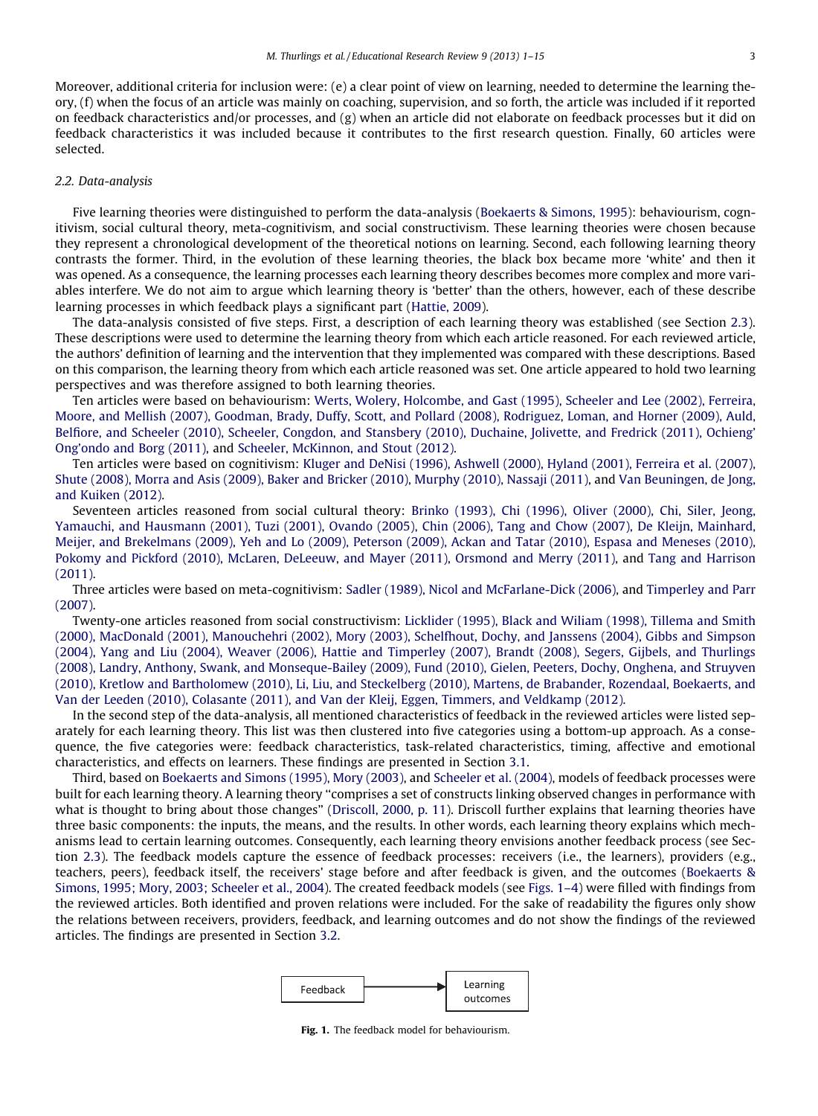<span id="page-2-0"></span>Moreover, additional criteria for inclusion were: (e) a clear point of view on learning, needed to determine the learning theory, (f) when the focus of an article was mainly on coaching, supervision, and so forth, the article was included if it reported on feedback characteristics and/or processes, and (g) when an article did not elaborate on feedback processes but it did on feedback characteristics it was included because it contributes to the first research question. Finally, 60 articles were selected.

# 2.2. Data-analysis

Five learning theories were distinguished to perform the data-analysis ([Boekaerts & Simons, 1995\)](#page-13-0): behaviourism, cognitivism, social cultural theory, meta-cognitivism, and social constructivism. These learning theories were chosen because they represent a chronological development of the theoretical notions on learning. Second, each following learning theory contrasts the former. Third, in the evolution of these learning theories, the black box became more 'white' and then it was opened. As a consequence, the learning processes each learning theory describes becomes more complex and more variables interfere. We do not aim to argue which learning theory is 'better' than the others, however, each of these describe learning processes in which feedback plays a significant part ([Hattie, 2009](#page-13-0)).

The data-analysis consisted of five steps. First, a description of each learning theory was established (see Section 2.3). These descriptions were used to determine the learning theory from which each article reasoned. For each reviewed article, the authors' definition of learning and the intervention that they implemented was compared with these descriptions. Based on this comparison, the learning theory from which each article reasoned was set. One article appeared to hold two learning perspectives and was therefore assigned to both learning theories.

Ten articles were based on behaviourism: [Werts, Wolery, Holcombe, and Gast \(1995\), Scheeler and Lee \(2002\), Ferreira,](#page-14-0) [Moore, and Mellish \(2007\), Goodman, Brady, Duffy, Scott, and Pollard \(2008\), Rodriguez, Loman, and Horner \(2009\), Auld,](#page-14-0) [Belfiore, and Scheeler \(2010\), Scheeler, Congdon, and Stansbery \(2010\), Duchaine, Jolivette, and Fredrick \(2011\), Ochieng'](#page-14-0) [Ong'ondo and Borg \(2011\)](#page-14-0), and [Scheeler, McKinnon, and Stout \(2012\)](#page-14-0).

Ten articles were based on cognitivism: [Kluger and DeNisi \(1996\), Ashwell \(2000\), Hyland \(2001\), Ferreira et al. \(2007\),](#page-13-0) [Shute \(2008\), Morra and Asis \(2009\), Baker and Bricker \(2010\), Murphy \(2010\), Nassaji \(2011\),](#page-13-0) and [Van Beuningen, de Jong,](#page-14-0) [and Kuiken \(2012\).](#page-14-0)

Seventeen articles reasoned from social cultural theory: [Brinko \(1993\), Chi \(1996\), Oliver \(2000\), Chi, Siler, Jeong,](#page-13-0) [Yamauchi, and Hausmann \(2001\), Tuzi \(2001\), Ovando \(2005\), Chin \(2006\), Tang and Chow \(2007\), De Kleijn, Mainhard,](#page-13-0) [Meijer, and Brekelmans \(2009\), Yeh and Lo \(2009\), Peterson \(2009\), Ackan and Tatar \(2010\), Espasa and Meneses \(2010\),](#page-13-0) [Pokomy and Pickford \(2010\), McLaren, DeLeeuw, and Mayer \(2011\), Orsmond and Merry \(2011\),](#page-13-0) and [Tang and Harrison](#page-14-0) [\(2011\).](#page-14-0)

Three articles were based on meta-cognitivism: [Sadler \(1989\), Nicol and McFarlane-Dick \(2006\)](#page-14-0), and [Timperley and Parr](#page-14-0) [\(2007\).](#page-14-0)

Twenty-one articles reasoned from social constructivism: [Licklider \(1995\), Black and Wiliam \(1998\), Tillema and Smith](#page-13-0) [\(2000\), MacDonald \(2001\), Manouchehri \(2002\), Mory \(2003\), Schelfhout, Dochy, and Janssens \(2004\), Gibbs and Simpson](#page-13-0) [\(2004\), Yang and Liu \(2004\), Weaver \(2006\), Hattie and Timperley \(2007\), Brandt \(2008\), Segers, Gijbels, and Thurlings](#page-13-0) [\(2008\), Landry, Anthony, Swank, and Monseque-Bailey \(2009\), Fund \(2010\), Gielen, Peeters, Dochy, Onghena, and Struyven](#page-13-0) [\(2010\), Kretlow and Bartholomew \(2010\), Li, Liu, and Steckelberg \(2010\), Martens, de Brabander, Rozendaal, Boekaerts, and](#page-13-0) [Van der Leeden \(2010\), Colasante \(2011\), and Van der Kleij, Eggen, Timmers, and Veldkamp \(2012\).](#page-13-0)

In the second step of the data-analysis, all mentioned characteristics of feedback in the reviewed articles were listed separately for each learning theory. This list was then clustered into five categories using a bottom-up approach. As a consequence, the five categories were: feedback characteristics, task-related characteristics, timing, affective and emotional characteristics, and effects on learners. These findings are presented in Section 3.1.

Third, based on [Boekaerts and Simons \(1995\), Mory \(2003\),](#page-13-0) and [Scheeler et al. \(2004\),](#page-14-0) models of feedback processes were built for each learning theory. A learning theory ''comprises a set of constructs linking observed changes in performance with what is thought to bring about those changes'' [\(Driscoll, 2000, p. 11](#page-13-0)). Driscoll further explains that learning theories have three basic components: the inputs, the means, and the results. In other words, each learning theory explains which mechanisms lead to certain learning outcomes. Consequently, each learning theory envisions another feedback process (see Section 2.3). The feedback models capture the essence of feedback processes: receivers (i.e., the learners), providers (e.g., teachers, peers), feedback itself, the receivers' stage before and after feedback is given, and the outcomes ([Boekaerts &](#page-13-0) [Simons, 1995; Mory, 2003; Scheeler et al., 2004\)](#page-13-0). The created feedback models (see Figs. 1–4) were filled with findings from the reviewed articles. Both identified and proven relations were included. For the sake of readability the figures only show the relations between receivers, providers, feedback, and learning outcomes and do not show the findings of the reviewed articles. The findings are presented in Section 3.2.



Fig. 1. The feedback model for behaviourism.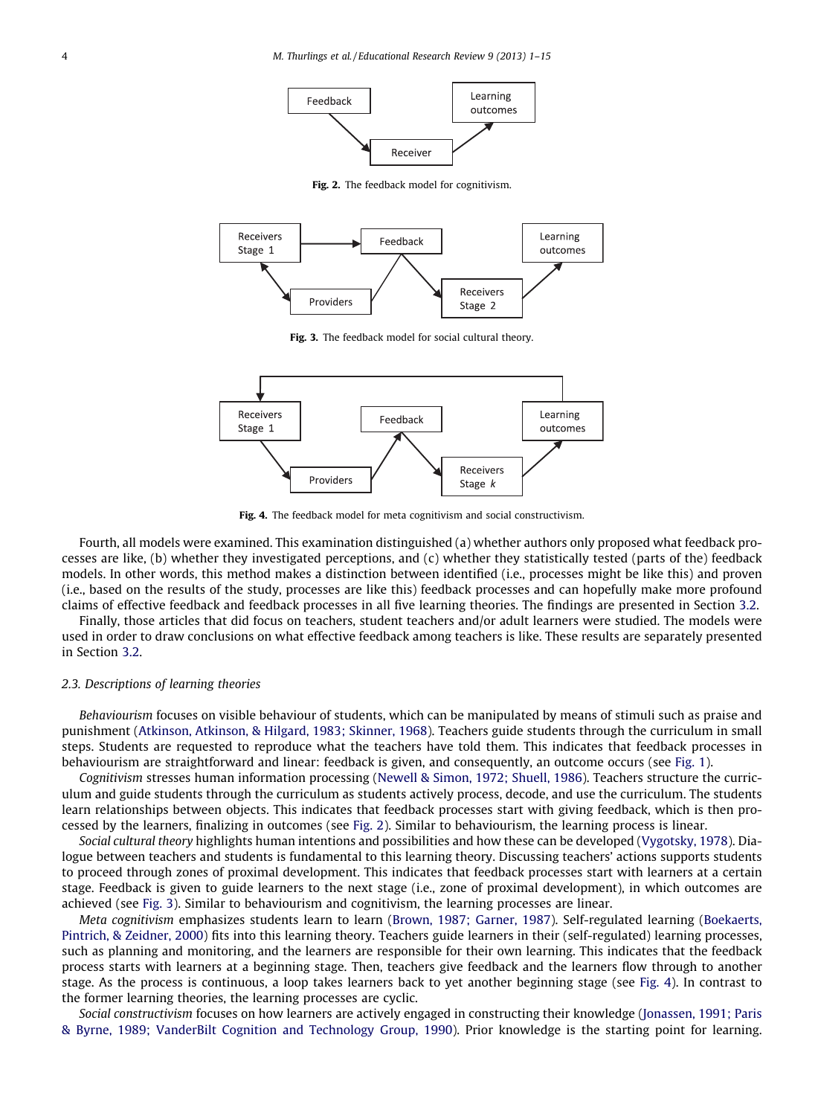<span id="page-3-0"></span>

Fig. 2. The feedback model for cognitivism.



Fig. 3. The feedback model for social cultural theory.



Fig. 4. The feedback model for meta cognitivism and social constructivism.

Fourth, all models were examined. This examination distinguished (a) whether authors only proposed what feedback processes are like, (b) whether they investigated perceptions, and (c) whether they statistically tested (parts of the) feedback models. In other words, this method makes a distinction between identified (i.e., processes might be like this) and proven (i.e., based on the results of the study, processes are like this) feedback processes and can hopefully make more profound claims of effective feedback and feedback processes in all five learning theories. The findings are presented in Section 3.2.

Finally, those articles that did focus on teachers, student teachers and/or adult learners were studied. The models were used in order to draw conclusions on what effective feedback among teachers is like. These results are separately presented in Section 3.2.

# 2.3. Descriptions of learning theories

Behaviourism focuses on visible behaviour of students, which can be manipulated by means of stimuli such as praise and punishment [\(Atkinson, Atkinson, & Hilgard, 1983; Skinner, 1968\)](#page-12-0). Teachers guide students through the curriculum in small steps. Students are requested to reproduce what the teachers have told them. This indicates that feedback processes in behaviourism are straightforward and linear: feedback is given, and consequently, an outcome occurs (see [Fig. 1\)](#page-2-0).

Cognitivism stresses human information processing [\(Newell & Simon, 1972; Shuell, 1986\)](#page-13-0). Teachers structure the curriculum and guide students through the curriculum as students actively process, decode, and use the curriculum. The students learn relationships between objects. This indicates that feedback processes start with giving feedback, which is then processed by the learners, finalizing in outcomes (see Fig. 2). Similar to behaviourism, the learning process is linear.

Social cultural theory highlights human intentions and possibilities and how these can be developed [\(Vygotsky, 1978\)](#page-14-0). Dialogue between teachers and students is fundamental to this learning theory. Discussing teachers' actions supports students to proceed through zones of proximal development. This indicates that feedback processes start with learners at a certain stage. Feedback is given to guide learners to the next stage (i.e., zone of proximal development), in which outcomes are achieved (see Fig. 3). Similar to behaviourism and cognitivism, the learning processes are linear.

Meta cognitivism emphasizes students learn to learn [\(Brown, 1987; Garner, 1987\)](#page-13-0). Self-regulated learning ([Boekaerts,](#page-13-0) [Pintrich, & Zeidner, 2000](#page-13-0)) fits into this learning theory. Teachers guide learners in their (self-regulated) learning processes, such as planning and monitoring, and the learners are responsible for their own learning. This indicates that the feedback process starts with learners at a beginning stage. Then, teachers give feedback and the learners flow through to another stage. As the process is continuous, a loop takes learners back to yet another beginning stage (see Fig. 4). In contrast to the former learning theories, the learning processes are cyclic.

Social constructivism focuses on how learners are actively engaged in constructing their knowledge [\(Jonassen, 1991; Paris](#page-13-0) [& Byrne, 1989; VanderBilt Cognition and Technology Group, 1990](#page-13-0)). Prior knowledge is the starting point for learning.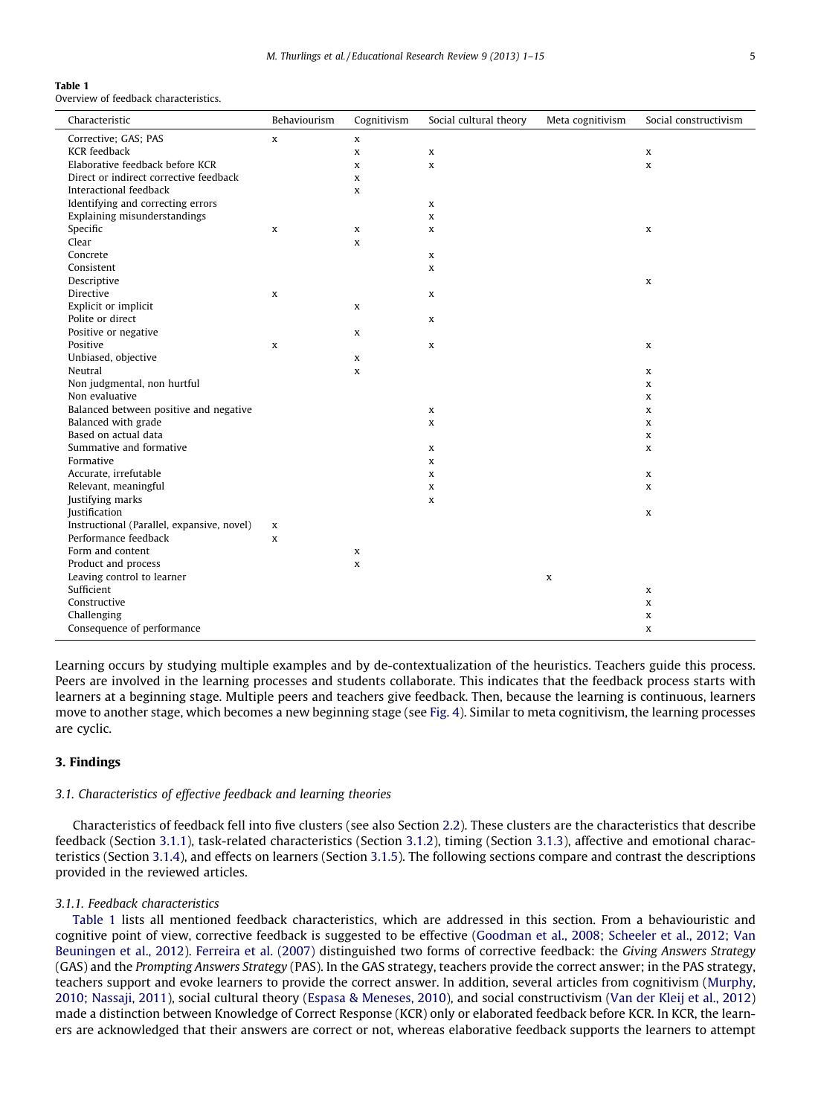| M. Thurlings et al./Educational Research Review 9 (2013) 1–15 |  |  |
|---------------------------------------------------------------|--|--|
|---------------------------------------------------------------|--|--|

# Table 1

Overview of feedback characteristics.

| Characteristic                             | Behaviourism | Cognitivism | Social cultural theory | Meta cognitivism | Social constructivism |
|--------------------------------------------|--------------|-------------|------------------------|------------------|-----------------------|
| Corrective; GAS; PAS                       | X            | X           |                        |                  |                       |
| <b>KCR</b> feedback                        |              | $\mathbf x$ | $\mathbf x$            |                  | $\mathbf x$           |
| Elaborative feedback before KCR            |              | $\mathbf x$ | $\mathbf x$            |                  | x                     |
| Direct or indirect corrective feedback     |              | X           |                        |                  |                       |
| Interactional feedback                     |              | X           |                        |                  |                       |
| Identifying and correcting errors          |              |             | X                      |                  |                       |
| Explaining misunderstandings               |              |             | X                      |                  |                       |
| Specific                                   | x            | X           | $\mathbf x$            |                  | X                     |
| Clear                                      |              | $\mathbf x$ |                        |                  |                       |
| Concrete                                   |              |             | X                      |                  |                       |
| Consistent                                 |              |             | X                      |                  |                       |
| Descriptive                                |              |             |                        |                  | X                     |
| Directive                                  | x            |             | X                      |                  |                       |
| Explicit or implicit                       |              | X           |                        |                  |                       |
| Polite or direct                           |              |             | X                      |                  |                       |
| Positive or negative                       |              | X           |                        |                  |                       |
| Positive                                   | X            |             | X                      |                  | X                     |
| Unbiased, objective                        |              | $\mathbf x$ |                        |                  |                       |
| Neutral                                    |              | X           |                        |                  | x                     |
| Non judgmental, non hurtful                |              |             |                        |                  | X                     |
| Non evaluative                             |              |             |                        |                  | x                     |
| Balanced between positive and negative     |              |             | X                      |                  | x                     |
| Balanced with grade                        |              |             | X                      |                  | X                     |
| Based on actual data                       |              |             |                        |                  | X                     |
| Summative and formative                    |              |             | X                      |                  | x                     |
| Formative                                  |              |             | X                      |                  |                       |
| Accurate, irrefutable                      |              |             | X                      |                  | $\mathbf x$           |
| Relevant, meaningful                       |              |             | X                      |                  | x                     |
| Justifying marks                           |              |             | X                      |                  |                       |
| Justification                              |              |             |                        |                  | X                     |
| Instructional (Parallel, expansive, novel) | $\mathbf x$  |             |                        |                  |                       |
| Performance feedback                       | X            |             |                        |                  |                       |
| Form and content                           |              | X           |                        |                  |                       |
| Product and process                        |              | $\mathbf x$ |                        |                  |                       |
| Leaving control to learner                 |              |             |                        | X                |                       |
| Sufficient                                 |              |             |                        |                  | x                     |
| Constructive                               |              |             |                        |                  | x                     |
| Challenging                                |              |             |                        |                  | x                     |
| Consequence of performance                 |              |             |                        |                  | x                     |

Learning occurs by studying multiple examples and by de-contextualization of the heuristics. Teachers guide this process. Peers are involved in the learning processes and students collaborate. This indicates that the feedback process starts with learners at a beginning stage. Multiple peers and teachers give feedback. Then, because the learning is continuous, learners move to another stage, which becomes a new beginning stage (see [Fig. 4\)](#page-3-0). Similar to meta cognitivism, the learning processes are cyclic.

# 3. Findings

# 3.1. Characteristics of effective feedback and learning theories

Characteristics of feedback fell into five clusters (see also Section 2.2). These clusters are the characteristics that describe feedback (Section 3.1.1), task-related characteristics (Section 3.1.2), timing (Section 3.1.3), affective and emotional characteristics (Section 3.1.4), and effects on learners (Section 3.1.5). The following sections compare and contrast the descriptions provided in the reviewed articles.

# 3.1.1. Feedback characteristics

Table 1 lists all mentioned feedback characteristics, which are addressed in this section. From a behaviouristic and cognitive point of view, corrective feedback is suggested to be effective [\(Goodman et al., 2008; Scheeler et al., 2012; Van](#page-13-0) [Beuningen et al., 2012\)](#page-13-0). [Ferreira et al. \(2007\)](#page-13-0) distinguished two forms of corrective feedback: the Giving Answers Strategy (GAS) and the Prompting Answers Strategy (PAS). In the GAS strategy, teachers provide the correct answer; in the PAS strategy, teachers support and evoke learners to provide the correct answer. In addition, several articles from cognitivism ([Murphy,](#page-13-0) [2010; Nassaji, 2011](#page-13-0)), social cultural theory ([Espasa & Meneses, 2010](#page-13-0)), and social constructivism [\(Van der Kleij et al., 2012](#page-14-0)) made a distinction between Knowledge of Correct Response (KCR) only or elaborated feedback before KCR. In KCR, the learners are acknowledged that their answers are correct or not, whereas elaborative feedback supports the learners to attempt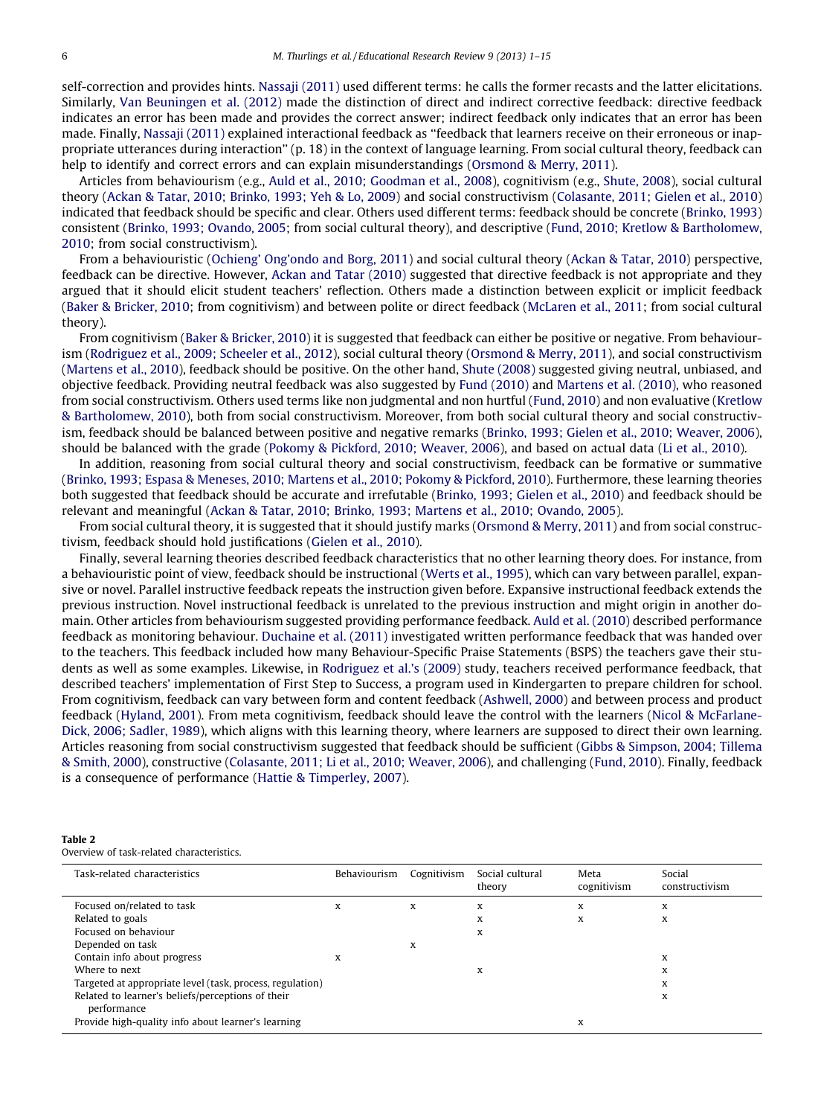<span id="page-5-0"></span>self-correction and provides hints. [Nassaji \(2011\)](#page-13-0) used different terms: he calls the former recasts and the latter elicitations. Similarly, [Van Beuningen et al. \(2012\)](#page-14-0) made the distinction of direct and indirect corrective feedback: directive feedback indicates an error has been made and provides the correct answer; indirect feedback only indicates that an error has been made. Finally, [Nassaji \(2011\)](#page-13-0) explained interactional feedback as ''feedback that learners receive on their erroneous or inappropriate utterances during interaction'' (p. 18) in the context of language learning. From social cultural theory, feedback can help to identify and correct errors and can explain misunderstandings [\(Orsmond & Merry, 2011\)](#page-13-0).

Articles from behaviourism (e.g., [Auld et al., 2010; Goodman et al., 2008\)](#page-12-0), cognitivism (e.g., [Shute, 2008\)](#page-14-0), social cultural theory [\(Ackan & Tatar, 2010; Brinko, 1993; Yeh & Lo, 2009\)](#page-12-0) and social constructivism ([Colasante, 2011; Gielen et al., 2010](#page-13-0)) indicated that feedback should be specific and clear. Others used different terms: feedback should be concrete ([Brinko, 1993](#page-13-0)) consistent [\(Brinko, 1993; Ovando, 2005](#page-13-0); from social cultural theory), and descriptive ([Fund, 2010; Kretlow & Bartholomew,](#page-13-0) [2010](#page-13-0); from social constructivism).

From a behaviouristic ([Ochieng' Ong'ondo and Borg, 2011\)](#page-13-0) and social cultural theory [\(Ackan & Tatar, 2010\)](#page-12-0) perspective, feedback can be directive. However, [Ackan and Tatar \(2010\)](#page-12-0) suggested that directive feedback is not appropriate and they argued that it should elicit student teachers' reflection. Others made a distinction between explicit or implicit feedback [\(Baker & Bricker, 2010](#page-12-0); from cognitivism) and between polite or direct feedback [\(McLaren et al., 2011](#page-13-0); from social cultural theory).

From cognitivism [\(Baker & Bricker, 2010\)](#page-12-0) it is suggested that feedback can either be positive or negative. From behaviourism [\(Rodriguez et al., 2009; Scheeler et al., 2012\)](#page-14-0), social cultural theory ([Orsmond & Merry, 2011\)](#page-13-0), and social constructivism [\(Martens et al., 2010\)](#page-13-0), feedback should be positive. On the other hand, [Shute \(2008\)](#page-14-0) suggested giving neutral, unbiased, and objective feedback. Providing neutral feedback was also suggested by [Fund \(2010\)](#page-13-0) and [Martens et al. \(2010\)](#page-13-0), who reasoned from social constructivism. Others used terms like non judgmental and non hurtful [\(Fund, 2010\)](#page-13-0) and non evaluative [\(Kretlow](#page-13-0) [& Bartholomew, 2010\)](#page-13-0), both from social constructivism. Moreover, from both social cultural theory and social constructivism, feedback should be balanced between positive and negative remarks [\(Brinko, 1993; Gielen et al., 2010; Weaver, 2006\)](#page-13-0), should be balanced with the grade [\(Pokomy & Pickford, 2010; Weaver, 2006\)](#page-14-0), and based on actual data [\(Li et al., 2010\)](#page-13-0).

In addition, reasoning from social cultural theory and social constructivism, feedback can be formative or summative [\(Brinko, 1993; Espasa & Meneses, 2010; Martens et al., 2010; Pokomy & Pickford, 2010](#page-13-0)). Furthermore, these learning theories both suggested that feedback should be accurate and irrefutable ([Brinko, 1993; Gielen et al., 2010](#page-13-0)) and feedback should be relevant and meaningful [\(Ackan & Tatar, 2010; Brinko, 1993; Martens et al., 2010; Ovando, 2005](#page-12-0)).

From social cultural theory, it is suggested that it should justify marks ([Orsmond & Merry, 2011\)](#page-13-0) and from social constructivism, feedback should hold justifications [\(Gielen et al., 2010](#page-13-0)).

Finally, several learning theories described feedback characteristics that no other learning theory does. For instance, from a behaviouristic point of view, feedback should be instructional [\(Werts et al., 1995\)](#page-14-0), which can vary between parallel, expansive or novel. Parallel instructive feedback repeats the instruction given before. Expansive instructional feedback extends the previous instruction. Novel instructional feedback is unrelated to the previous instruction and might origin in another domain. Other articles from behaviourism suggested providing performance feedback. [Auld et al. \(2010\)](#page-12-0) described performance feedback as monitoring behaviour. [Duchaine et al. \(2011\)](#page-13-0) investigated written performance feedback that was handed over to the teachers. This feedback included how many Behaviour-Specific Praise Statements (BSPS) the teachers gave their students as well as some examples. Likewise, in [Rodriguez et al.'s \(2009\)](#page-14-0) study, teachers received performance feedback, that described teachers' implementation of First Step to Success, a program used in Kindergarten to prepare children for school. From cognitivism, feedback can vary between form and content feedback [\(Ashwell, 2000](#page-12-0)) and between process and product feedback [\(Hyland, 2001](#page-13-0)). From meta cognitivism, feedback should leave the control with the learners [\(Nicol & McFarlane-](#page-13-0)[Dick, 2006; Sadler, 1989](#page-13-0)), which aligns with this learning theory, where learners are supposed to direct their own learning. Articles reasoning from social constructivism suggested that feedback should be sufficient ([Gibbs & Simpson, 2004; Tillema](#page-13-0) [& Smith, 2000](#page-13-0)), constructive ([Colasante, 2011; Li et al., 2010; Weaver, 2006\)](#page-13-0), and challenging ([Fund, 2010\)](#page-13-0). Finally, feedback is a consequence of performance ([Hattie & Timperley, 2007\)](#page-13-0).

| ונוו<br>. . |  |  |  |  |
|-------------|--|--|--|--|
|-------------|--|--|--|--|

Overview of task-related characteristics.

| Behaviourism | Cognitivism | Social cultural<br>theory | Meta<br>cognitivism | Social<br>constructivism |
|--------------|-------------|---------------------------|---------------------|--------------------------|
| x            | x           | X                         | x                   | X                        |
|              |             | X                         | X                   | X                        |
|              |             | X                         |                     |                          |
|              | X           |                           |                     |                          |
| x            |             |                           |                     | X                        |
|              |             | X                         |                     | X                        |
|              |             |                           |                     | X                        |
|              |             |                           |                     | X                        |
|              |             |                           |                     |                          |
|              |             |                           | x                   |                          |
|              |             |                           |                     |                          |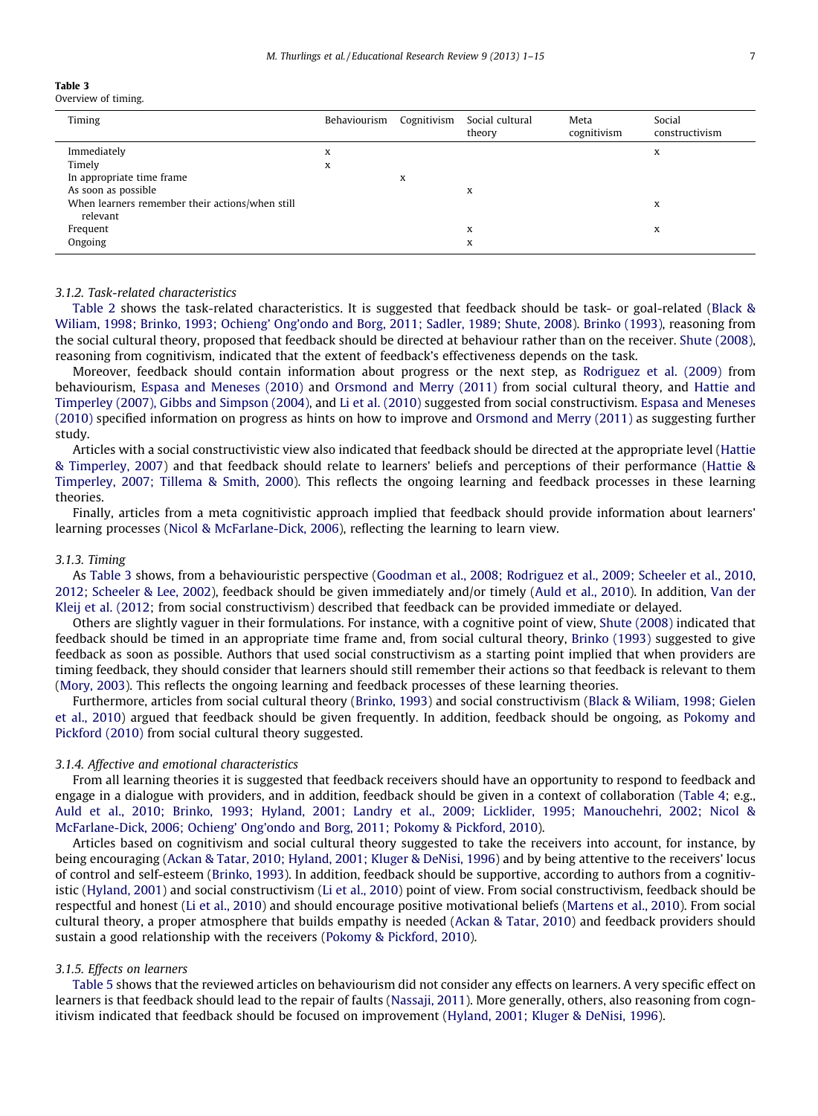#### Table 3

Overview of timing.

| Timing                                          | Behaviourism Cognitivism |   | Social cultural<br>theory | Meta<br>cognitivism | Social<br>constructivism |
|-------------------------------------------------|--------------------------|---|---------------------------|---------------------|--------------------------|
| Immediately                                     | x                        |   |                           |                     | x                        |
| Timely                                          | x                        |   |                           |                     |                          |
| In appropriate time frame                       |                          | x |                           |                     |                          |
| As soon as possible                             |                          |   | x                         |                     |                          |
| When learners remember their actions/when still |                          |   |                           |                     | X                        |
| relevant                                        |                          |   |                           |                     |                          |
| Frequent                                        |                          |   | X                         |                     | X                        |
| Ongoing                                         |                          |   | x                         |                     |                          |

#### 3.1.2. Task-related characteristics

[Table 2](#page-5-0) shows the task-related characteristics. It is suggested that feedback should be task- or goal-related ([Black &](#page-13-0) [Wiliam, 1998; Brinko, 1993; Ochieng' Ong'ondo and Borg, 2011; Sadler, 1989; Shute, 2008](#page-13-0)). [Brinko \(1993\)](#page-13-0), reasoning from the social cultural theory, proposed that feedback should be directed at behaviour rather than on the receiver. [Shute \(2008\)](#page-14-0), reasoning from cognitivism, indicated that the extent of feedback's effectiveness depends on the task.

Moreover, feedback should contain information about progress or the next step, as [Rodriguez et al. \(2009\)](#page-14-0) from behaviourism, [Espasa and Meneses \(2010\)](#page-13-0) and [Orsmond and Merry \(2011\)](#page-13-0) from social cultural theory, and [Hattie and](#page-13-0) [Timperley \(2007\), Gibbs and Simpson \(2004\),](#page-13-0) and [Li et al. \(2010\)](#page-13-0) suggested from social constructivism. [Espasa and Meneses](#page-13-0) [\(2010\)](#page-13-0) specified information on progress as hints on how to improve and [Orsmond and Merry \(2011\)](#page-13-0) as suggesting further study.

Articles with a social constructivistic view also indicated that feedback should be directed at the appropriate level ([Hattie](#page-13-0) [& Timperley, 2007\)](#page-13-0) and that feedback should relate to learners' beliefs and perceptions of their performance ([Hattie &](#page-13-0) [Timperley, 2007; Tillema & Smith, 2000](#page-13-0)). This reflects the ongoing learning and feedback processes in these learning theories.

Finally, articles from a meta cognitivistic approach implied that feedback should provide information about learners' learning processes [\(Nicol & McFarlane-Dick, 2006\)](#page-13-0), reflecting the learning to learn view.

#### 3.1.3. Timing

As Table 3 shows, from a behaviouristic perspective ([Goodman et al., 2008; Rodriguez et al., 2009; Scheeler et al., 2010,](#page-13-0) [2012; Scheeler & Lee, 2002\)](#page-13-0), feedback should be given immediately and/or timely [\(Auld et al., 2010](#page-12-0)). In addition, [Van der](#page-14-0) [Kleij et al. \(2012;](#page-14-0) from social constructivism) described that feedback can be provided immediate or delayed.

Others are slightly vaguer in their formulations. For instance, with a cognitive point of view, [Shute \(2008\)](#page-14-0) indicated that feedback should be timed in an appropriate time frame and, from social cultural theory, [Brinko \(1993\)](#page-13-0) suggested to give feedback as soon as possible. Authors that used social constructivism as a starting point implied that when providers are timing feedback, they should consider that learners should still remember their actions so that feedback is relevant to them ([Mory, 2003](#page-13-0)). This reflects the ongoing learning and feedback processes of these learning theories.

Furthermore, articles from social cultural theory ([Brinko, 1993\)](#page-13-0) and social constructivism ([Black & Wiliam, 1998; Gielen](#page-13-0) [et al., 2010\)](#page-13-0) argued that feedback should be given frequently. In addition, feedback should be ongoing, as [Pokomy and](#page-14-0) [Pickford \(2010\)](#page-14-0) from social cultural theory suggested.

#### 3.1.4. Affective and emotional characteristics

From all learning theories it is suggested that feedback receivers should have an opportunity to respond to feedback and engage in a dialogue with providers, and in addition, feedback should be given in a context of collaboration [\(Table 4;](#page-7-0) e.g., [Auld et al., 2010; Brinko, 1993; Hyland, 2001; Landry et al., 2009; Licklider, 1995; Manouchehri, 2002; Nicol &](#page-12-0) [McFarlane-Dick, 2006; Ochieng' Ong'ondo and Borg, 2011; Pokomy & Pickford, 2010\)](#page-12-0).

Articles based on cognitivism and social cultural theory suggested to take the receivers into account, for instance, by being encouraging ([Ackan & Tatar, 2010; Hyland, 2001; Kluger & DeNisi, 1996\)](#page-12-0) and by being attentive to the receivers' locus of control and self-esteem [\(Brinko, 1993](#page-13-0)). In addition, feedback should be supportive, according to authors from a cognitivistic ([Hyland, 2001](#page-13-0)) and social constructivism ([Li et al., 2010](#page-13-0)) point of view. From social constructivism, feedback should be respectful and honest ([Li et al., 2010](#page-13-0)) and should encourage positive motivational beliefs ([Martens et al., 2010](#page-13-0)). From social cultural theory, a proper atmosphere that builds empathy is needed [\(Ackan & Tatar, 2010](#page-12-0)) and feedback providers should sustain a good relationship with the receivers [\(Pokomy & Pickford, 2010\)](#page-14-0).

# 3.1.5. Effects on learners

[Table 5](#page-7-0) shows that the reviewed articles on behaviourism did not consider any effects on learners. A very specific effect on learners is that feedback should lead to the repair of faults [\(Nassaji, 2011](#page-13-0)). More generally, others, also reasoning from cognitivism indicated that feedback should be focused on improvement [\(Hyland, 2001; Kluger & DeNisi, 1996](#page-13-0)).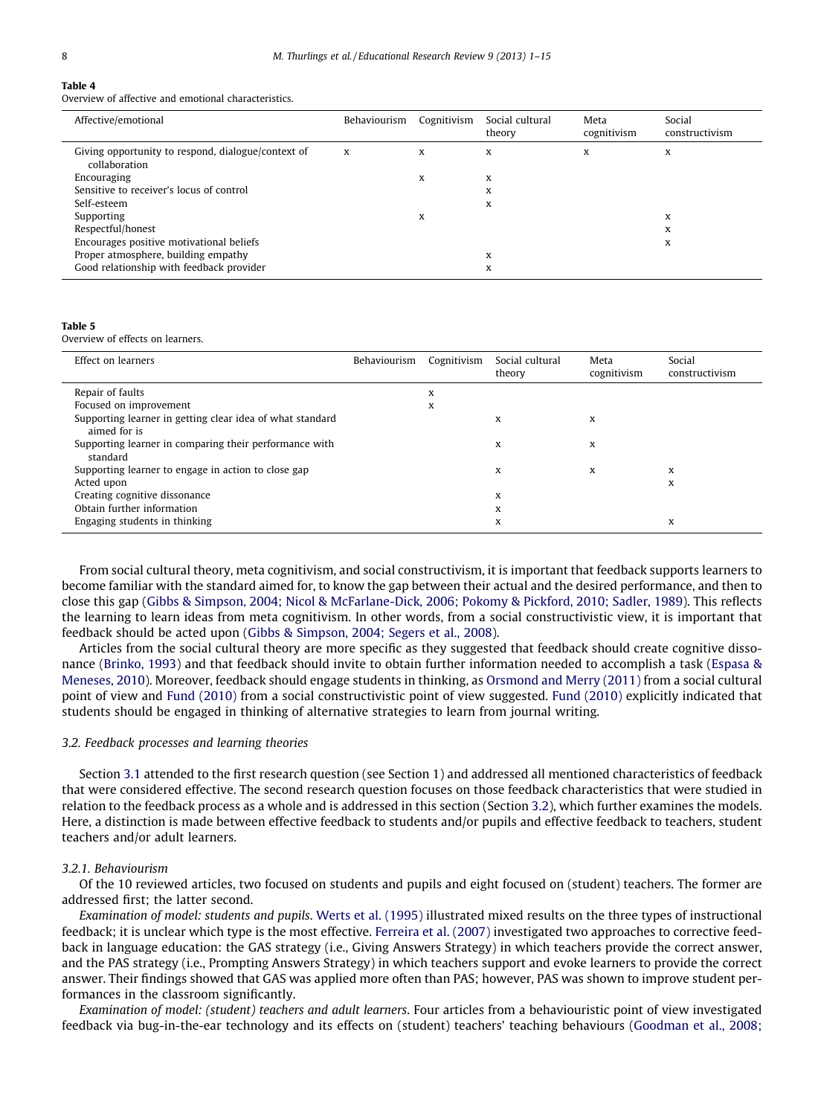# <span id="page-7-0"></span>Table 4

Overview of affective and emotional characteristics.

| Affective/emotional                                                 | Behaviourism | Cognitivism | Social cultural<br>theory | Meta<br>cognitivism | Social<br>constructivism |
|---------------------------------------------------------------------|--------------|-------------|---------------------------|---------------------|--------------------------|
| Giving opportunity to respond, dialogue/context of<br>collaboration | X            | x           | x                         | x                   | X                        |
| Encouraging                                                         |              | X           | X                         |                     |                          |
| Sensitive to receiver's locus of control                            |              |             | x                         |                     |                          |
| Self-esteem                                                         |              |             | X                         |                     |                          |
| Supporting                                                          |              | x           |                           |                     | X                        |
| Respectful/honest                                                   |              |             |                           |                     | X                        |
| Encourages positive motivational beliefs                            |              |             |                           |                     | X                        |
| Proper atmosphere, building empathy                                 |              |             | x                         |                     |                          |
| Good relationship with feedback provider                            |              |             | x                         |                     |                          |

#### Table 5

Overview of effects on learners.

| Effect on learners                                                        | Behaviourism | Cognitivism | Social cultural<br>theory | Meta<br>cognitivism | Social<br>constructivism |
|---------------------------------------------------------------------------|--------------|-------------|---------------------------|---------------------|--------------------------|
| Repair of faults                                                          |              | X           |                           |                     |                          |
| Focused on improvement                                                    |              | X           |                           |                     |                          |
| Supporting learner in getting clear idea of what standard<br>aimed for is |              |             | X                         | X                   |                          |
| Supporting learner in comparing their performance with<br>standard        |              |             | X                         | X                   |                          |
| Supporting learner to engage in action to close gap                       |              |             | x                         | X                   | x                        |
| Acted upon                                                                |              |             |                           |                     | x                        |
| Creating cognitive dissonance                                             |              |             | X                         |                     |                          |
| Obtain further information                                                |              |             | X                         |                     |                          |
| Engaging students in thinking                                             |              |             | X                         |                     | x                        |

From social cultural theory, meta cognitivism, and social constructivism, it is important that feedback supports learners to become familiar with the standard aimed for, to know the gap between their actual and the desired performance, and then to close this gap ([Gibbs & Simpson, 2004; Nicol & McFarlane-Dick, 2006; Pokomy & Pickford, 2010; Sadler, 1989\)](#page-13-0). This reflects the learning to learn ideas from meta cognitivism. In other words, from a social constructivistic view, it is important that feedback should be acted upon [\(Gibbs & Simpson, 2004; Segers et al., 2008\)](#page-13-0).

Articles from the social cultural theory are more specific as they suggested that feedback should create cognitive dissonance [\(Brinko, 1993](#page-13-0)) and that feedback should invite to obtain further information needed to accomplish a task ([Espasa &](#page-13-0) [Meneses, 2010](#page-13-0)). Moreover, feedback should engage students in thinking, as [Orsmond and Merry \(2011\)](#page-13-0) from a social cultural point of view and [Fund \(2010\)](#page-13-0) from a social constructivistic point of view suggested. [Fund \(2010\)](#page-13-0) explicitly indicated that students should be engaged in thinking of alternative strategies to learn from journal writing.

# 3.2. Feedback processes and learning theories

Section 3.1 attended to the first research question (see Section 1) and addressed all mentioned characteristics of feedback that were considered effective. The second research question focuses on those feedback characteristics that were studied in relation to the feedback process as a whole and is addressed in this section (Section 3.2), which further examines the models. Here, a distinction is made between effective feedback to students and/or pupils and effective feedback to teachers, student teachers and/or adult learners.

# 3.2.1. Behaviourism

Of the 10 reviewed articles, two focused on students and pupils and eight focused on (student) teachers. The former are addressed first; the latter second.

Examination of model: students and pupils. [Werts et al. \(1995\)](#page-14-0) illustrated mixed results on the three types of instructional feedback; it is unclear which type is the most effective. [Ferreira et al. \(2007\)](#page-13-0) investigated two approaches to corrective feedback in language education: the GAS strategy (i.e., Giving Answers Strategy) in which teachers provide the correct answer, and the PAS strategy (i.e., Prompting Answers Strategy) in which teachers support and evoke learners to provide the correct answer. Their findings showed that GAS was applied more often than PAS; however, PAS was shown to improve student performances in the classroom significantly.

Examination of model: (student) teachers and adult learners. Four articles from a behaviouristic point of view investigated feedback via bug-in-the-ear technology and its effects on (student) teachers' teaching behaviours [\(Goodman et al., 2008;](#page-13-0)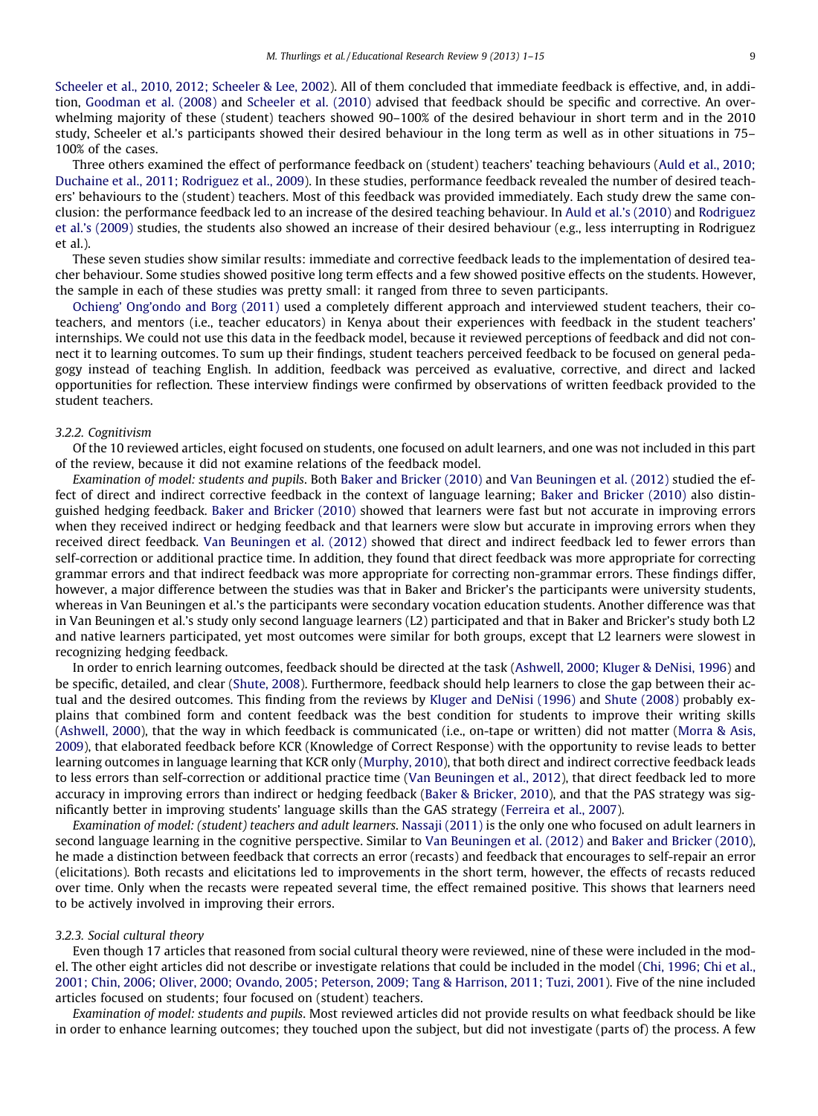[Scheeler et al., 2010, 2012; Scheeler & Lee, 2002\)](#page-13-0). All of them concluded that immediate feedback is effective, and, in addition, [Goodman et al. \(2008\)](#page-13-0) and [Scheeler et al. \(2010\)](#page-14-0) advised that feedback should be specific and corrective. An overwhelming majority of these (student) teachers showed 90–100% of the desired behaviour in short term and in the 2010 study, Scheeler et al.'s participants showed their desired behaviour in the long term as well as in other situations in 75– 100% of the cases.

Three others examined the effect of performance feedback on (student) teachers' teaching behaviours ([Auld et al., 2010;](#page-12-0) [Duchaine et al., 2011; Rodriguez et al., 2009\)](#page-12-0). In these studies, performance feedback revealed the number of desired teachers' behaviours to the (student) teachers. Most of this feedback was provided immediately. Each study drew the same conclusion: the performance feedback led to an increase of the desired teaching behaviour. In [Auld et al.'s \(2010\)](#page-12-0) and [Rodriguez](#page-14-0) [et al.'s \(2009\)](#page-14-0) studies, the students also showed an increase of their desired behaviour (e.g., less interrupting in Rodriguez et al.).

These seven studies show similar results: immediate and corrective feedback leads to the implementation of desired teacher behaviour. Some studies showed positive long term effects and a few showed positive effects on the students. However, the sample in each of these studies was pretty small: it ranged from three to seven participants.

[Ochieng' Ong'ondo and Borg \(2011\)](#page-13-0) used a completely different approach and interviewed student teachers, their coteachers, and mentors (i.e., teacher educators) in Kenya about their experiences with feedback in the student teachers' internships. We could not use this data in the feedback model, because it reviewed perceptions of feedback and did not connect it to learning outcomes. To sum up their findings, student teachers perceived feedback to be focused on general pedagogy instead of teaching English. In addition, feedback was perceived as evaluative, corrective, and direct and lacked opportunities for reflection. These interview findings were confirmed by observations of written feedback provided to the student teachers.

# 3.2.2. Cognitivism

Of the 10 reviewed articles, eight focused on students, one focused on adult learners, and one was not included in this part of the review, because it did not examine relations of the feedback model.

Examination of model: students and pupils. Both [Baker and Bricker \(2010\)](#page-12-0) and [Van Beuningen et al. \(2012\)](#page-14-0) studied the effect of direct and indirect corrective feedback in the context of language learning; [Baker and Bricker \(2010\)](#page-12-0) also distinguished hedging feedback. [Baker and Bricker \(2010\)](#page-12-0) showed that learners were fast but not accurate in improving errors when they received indirect or hedging feedback and that learners were slow but accurate in improving errors when they received direct feedback. [Van Beuningen et al. \(2012\)](#page-14-0) showed that direct and indirect feedback led to fewer errors than self-correction or additional practice time. In addition, they found that direct feedback was more appropriate for correcting grammar errors and that indirect feedback was more appropriate for correcting non-grammar errors. These findings differ, however, a major difference between the studies was that in Baker and Bricker's the participants were university students, whereas in Van Beuningen et al.'s the participants were secondary vocation education students. Another difference was that in Van Beuningen et al.'s study only second language learners (L2) participated and that in Baker and Bricker's study both L2 and native learners participated, yet most outcomes were similar for both groups, except that L2 learners were slowest in recognizing hedging feedback.

In order to enrich learning outcomes, feedback should be directed at the task [\(Ashwell, 2000; Kluger & DeNisi, 1996\)](#page-12-0) and be specific, detailed, and clear [\(Shute, 2008\)](#page-14-0). Furthermore, feedback should help learners to close the gap between their actual and the desired outcomes. This finding from the reviews by [Kluger and DeNisi \(1996\)](#page-13-0) and [Shute \(2008\)](#page-14-0) probably explains that combined form and content feedback was the best condition for students to improve their writing skills ([Ashwell, 2000\)](#page-12-0), that the way in which feedback is communicated (i.e., on-tape or written) did not matter ([Morra & Asis,](#page-13-0) [2009\)](#page-13-0), that elaborated feedback before KCR (Knowledge of Correct Response) with the opportunity to revise leads to better learning outcomes in language learning that KCR only [\(Murphy, 2010\)](#page-13-0), that both direct and indirect corrective feedback leads to less errors than self-correction or additional practice time [\(Van Beuningen et al., 2012\)](#page-14-0), that direct feedback led to more accuracy in improving errors than indirect or hedging feedback [\(Baker & Bricker, 2010](#page-12-0)), and that the PAS strategy was significantly better in improving students' language skills than the GAS strategy ([Ferreira et al., 2007\)](#page-13-0).

Examination of model: (student) teachers and adult learners. [Nassaji \(2011\)](#page-13-0) is the only one who focused on adult learners in second language learning in the cognitive perspective. Similar to [Van Beuningen et al. \(2012\)](#page-14-0) and [Baker and Bricker \(2010\)](#page-12-0), he made a distinction between feedback that corrects an error (recasts) and feedback that encourages to self-repair an error (elicitations). Both recasts and elicitations led to improvements in the short term, however, the effects of recasts reduced over time. Only when the recasts were repeated several time, the effect remained positive. This shows that learners need to be actively involved in improving their errors.

#### 3.2.3. Social cultural theory

Even though 17 articles that reasoned from social cultural theory were reviewed, nine of these were included in the model. The other eight articles did not describe or investigate relations that could be included in the model ([Chi, 1996; Chi et al.,](#page-13-0) [2001; Chin, 2006; Oliver, 2000; Ovando, 2005; Peterson, 2009; Tang & Harrison, 2011; Tuzi, 2001\)](#page-13-0). Five of the nine included articles focused on students; four focused on (student) teachers.

Examination of model: students and pupils. Most reviewed articles did not provide results on what feedback should be like in order to enhance learning outcomes; they touched upon the subject, but did not investigate (parts of) the process. A few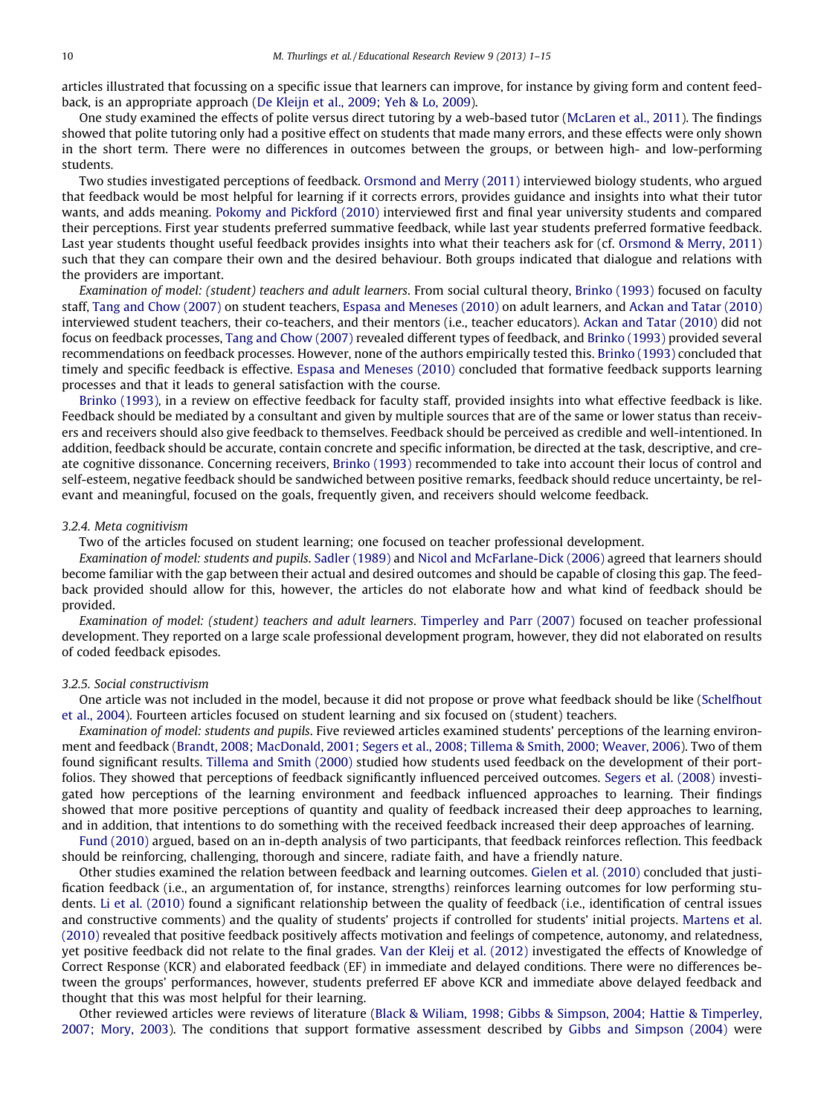articles illustrated that focussing on a specific issue that learners can improve, for instance by giving form and content feedback, is an appropriate approach [\(De Kleijn et al., 2009; Yeh & Lo, 2009](#page-13-0)).

One study examined the effects of polite versus direct tutoring by a web-based tutor ([McLaren et al., 2011\)](#page-13-0). The findings showed that polite tutoring only had a positive effect on students that made many errors, and these effects were only shown in the short term. There were no differences in outcomes between the groups, or between high- and low-performing students.

Two studies investigated perceptions of feedback. [Orsmond and Merry \(2011\)](#page-13-0) interviewed biology students, who argued that feedback would be most helpful for learning if it corrects errors, provides guidance and insights into what their tutor wants, and adds meaning. [Pokomy and Pickford \(2010\)](#page-14-0) interviewed first and final year university students and compared their perceptions. First year students preferred summative feedback, while last year students preferred formative feedback. Last year students thought useful feedback provides insights into what their teachers ask for (cf. [Orsmond & Merry, 2011](#page-13-0)) such that they can compare their own and the desired behaviour. Both groups indicated that dialogue and relations with the providers are important.

Examination of model: (student) teachers and adult learners. From social cultural theory, [Brinko \(1993\)](#page-13-0) focused on faculty staff, [Tang and Chow \(2007\)](#page-14-0) on student teachers, [Espasa and Meneses \(2010\)](#page-13-0) on adult learners, and [Ackan and Tatar \(2010\)](#page-12-0) interviewed student teachers, their co-teachers, and their mentors (i.e., teacher educators). [Ackan and Tatar \(2010\)](#page-12-0) did not focus on feedback processes, [Tang and Chow \(2007\)](#page-14-0) revealed different types of feedback, and [Brinko \(1993\)](#page-13-0) provided several recommendations on feedback processes. However, none of the authors empirically tested this. [Brinko \(1993\)](#page-13-0) concluded that timely and specific feedback is effective. [Espasa and Meneses \(2010\)](#page-13-0) concluded that formative feedback supports learning processes and that it leads to general satisfaction with the course.

[Brinko \(1993\)](#page-13-0), in a review on effective feedback for faculty staff, provided insights into what effective feedback is like. Feedback should be mediated by a consultant and given by multiple sources that are of the same or lower status than receivers and receivers should also give feedback to themselves. Feedback should be perceived as credible and well-intentioned. In addition, feedback should be accurate, contain concrete and specific information, be directed at the task, descriptive, and create cognitive dissonance. Concerning receivers, [Brinko \(1993\)](#page-13-0) recommended to take into account their locus of control and self-esteem, negative feedback should be sandwiched between positive remarks, feedback should reduce uncertainty, be relevant and meaningful, focused on the goals, frequently given, and receivers should welcome feedback.

#### 3.2.4. Meta cognitivism

Two of the articles focused on student learning; one focused on teacher professional development.

Examination of model: students and pupils. [Sadler \(1989\)](#page-14-0) and [Nicol and McFarlane-Dick \(2006\)](#page-13-0) agreed that learners should become familiar with the gap between their actual and desired outcomes and should be capable of closing this gap. The feedback provided should allow for this, however, the articles do not elaborate how and what kind of feedback should be provided.

Examination of model: (student) teachers and adult learners. [Timperley and Parr \(2007\)](#page-14-0) focused on teacher professional development. They reported on a large scale professional development program, however, they did not elaborated on results of coded feedback episodes.

# 3.2.5. Social constructivism

One article was not included in the model, because it did not propose or prove what feedback should be like [\(Schelfhout](#page-14-0) [et al., 2004](#page-14-0)). Fourteen articles focused on student learning and six focused on (student) teachers.

Examination of model: students and pupils. Five reviewed articles examined students' perceptions of the learning environment and feedback ([Brandt, 2008; MacDonald, 2001; Segers et al., 2008; Tillema & Smith, 2000; Weaver, 2006](#page-13-0)). Two of them found significant results. [Tillema and Smith \(2000\)](#page-14-0) studied how students used feedback on the development of their portfolios. They showed that perceptions of feedback significantly influenced perceived outcomes. [Segers et al. \(2008\)](#page-14-0) investigated how perceptions of the learning environment and feedback influenced approaches to learning. Their findings showed that more positive perceptions of quantity and quality of feedback increased their deep approaches to learning, and in addition, that intentions to do something with the received feedback increased their deep approaches of learning.

[Fund \(2010\)](#page-13-0) argued, based on an in-depth analysis of two participants, that feedback reinforces reflection. This feedback should be reinforcing, challenging, thorough and sincere, radiate faith, and have a friendly nature.

Other studies examined the relation between feedback and learning outcomes. [Gielen et al. \(2010\)](#page-13-0) concluded that justification feedback (i.e., an argumentation of, for instance, strengths) reinforces learning outcomes for low performing students. [Li et al. \(2010\)](#page-13-0) found a significant relationship between the quality of feedback (i.e., identification of central issues and constructive comments) and the quality of students' projects if controlled for students' initial projects. [Martens et al.](#page-13-0) [\(2010\)](#page-13-0) revealed that positive feedback positively affects motivation and feelings of competence, autonomy, and relatedness, yet positive feedback did not relate to the final grades. [Van der Kleij et al. \(2012\)](#page-14-0) investigated the effects of Knowledge of Correct Response (KCR) and elaborated feedback (EF) in immediate and delayed conditions. There were no differences between the groups' performances, however, students preferred EF above KCR and immediate above delayed feedback and thought that this was most helpful for their learning.

Other reviewed articles were reviews of literature ([Black & Wiliam, 1998; Gibbs & Simpson, 2004; Hattie & Timperley,](#page-13-0) [2007; Mory, 2003](#page-13-0)). The conditions that support formative assessment described by [Gibbs and Simpson \(2004\)](#page-13-0) were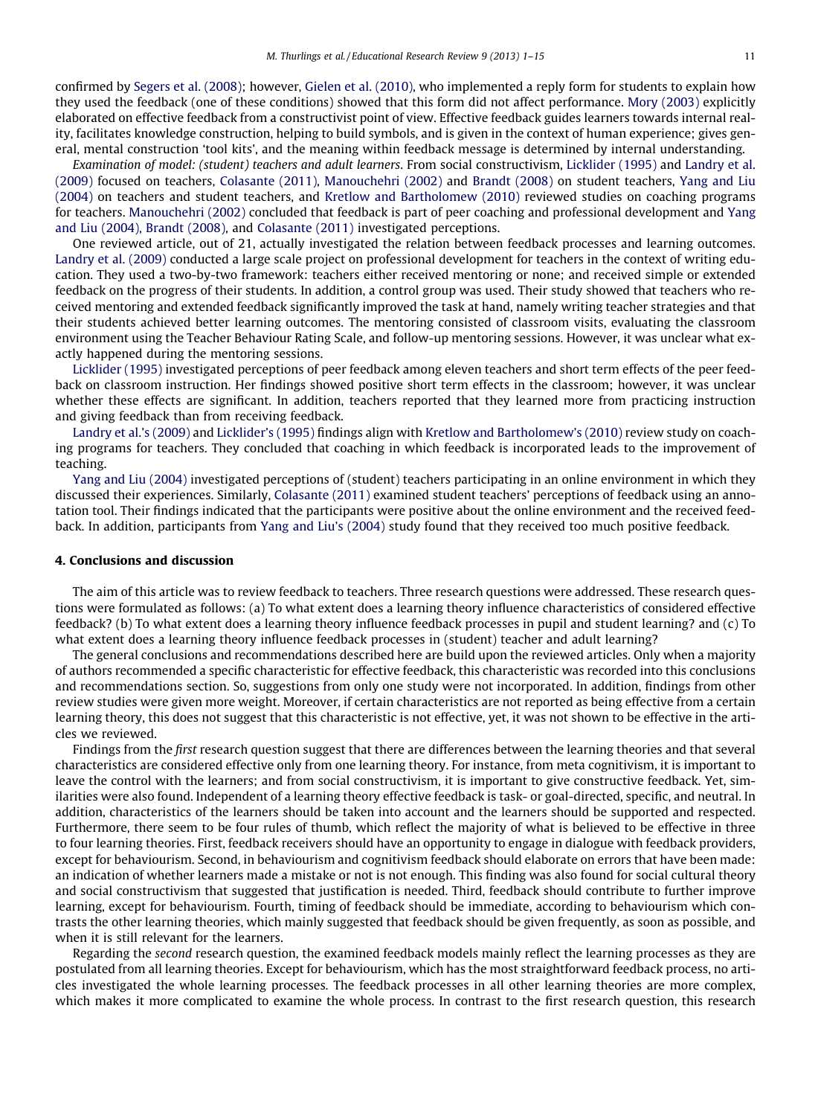confirmed by [Segers et al. \(2008\)](#page-14-0); however, [Gielen et al. \(2010\),](#page-13-0) who implemented a reply form for students to explain how they used the feedback (one of these conditions) showed that this form did not affect performance. [Mory \(2003\)](#page-13-0) explicitly elaborated on effective feedback from a constructivist point of view. Effective feedback guides learners towards internal reality, facilitates knowledge construction, helping to build symbols, and is given in the context of human experience; gives general, mental construction 'tool kits', and the meaning within feedback message is determined by internal understanding.

Examination of model: (student) teachers and adult learners. From social constructivism, [Licklider \(1995\)](#page-13-0) and [Landry et al.](#page-13-0) [\(2009\)](#page-13-0) focused on teachers, [Colasante \(2011\)](#page-13-0), [Manouchehri \(2002\)](#page-13-0) and [Brandt \(2008\)](#page-13-0) on student teachers, [Yang and Liu](#page-14-0) [\(2004\)](#page-14-0) on teachers and student teachers, and [Kretlow and Bartholomew \(2010\)](#page-13-0) reviewed studies on coaching programs for teachers. [Manouchehri \(2002\)](#page-13-0) concluded that feedback is part of peer coaching and professional development and [Yang](#page-14-0) [and Liu \(2004\), Brandt \(2008\)](#page-14-0), and [Colasante \(2011\)](#page-13-0) investigated perceptions.

One reviewed article, out of 21, actually investigated the relation between feedback processes and learning outcomes. [Landry et al. \(2009\)](#page-13-0) conducted a large scale project on professional development for teachers in the context of writing education. They used a two-by-two framework: teachers either received mentoring or none; and received simple or extended feedback on the progress of their students. In addition, a control group was used. Their study showed that teachers who received mentoring and extended feedback significantly improved the task at hand, namely writing teacher strategies and that their students achieved better learning outcomes. The mentoring consisted of classroom visits, evaluating the classroom environment using the Teacher Behaviour Rating Scale, and follow-up mentoring sessions. However, it was unclear what exactly happened during the mentoring sessions.

[Licklider \(1995\)](#page-13-0) investigated perceptions of peer feedback among eleven teachers and short term effects of the peer feedback on classroom instruction. Her findings showed positive short term effects in the classroom; however, it was unclear whether these effects are significant. In addition, teachers reported that they learned more from practicing instruction and giving feedback than from receiving feedback.

[Landry et al.'s \(2009\)](#page-13-0) and [Licklider's \(1995\)](#page-13-0) findings align with [Kretlow and Bartholomew's \(2010\)](#page-13-0) review study on coaching programs for teachers. They concluded that coaching in which feedback is incorporated leads to the improvement of teaching.

[Yang and Liu \(2004\)](#page-14-0) investigated perceptions of (student) teachers participating in an online environment in which they discussed their experiences. Similarly, [Colasante \(2011\)](#page-13-0) examined student teachers' perceptions of feedback using an annotation tool. Their findings indicated that the participants were positive about the online environment and the received feedback. In addition, participants from [Yang and Liu's \(2004\)](#page-14-0) study found that they received too much positive feedback.

# 4. Conclusions and discussion

The aim of this article was to review feedback to teachers. Three research questions were addressed. These research questions were formulated as follows: (a) To what extent does a learning theory influence characteristics of considered effective feedback? (b) To what extent does a learning theory influence feedback processes in pupil and student learning? and (c) To what extent does a learning theory influence feedback processes in (student) teacher and adult learning?

The general conclusions and recommendations described here are build upon the reviewed articles. Only when a majority of authors recommended a specific characteristic for effective feedback, this characteristic was recorded into this conclusions and recommendations section. So, suggestions from only one study were not incorporated. In addition, findings from other review studies were given more weight. Moreover, if certain characteristics are not reported as being effective from a certain learning theory, this does not suggest that this characteristic is not effective, yet, it was not shown to be effective in the articles we reviewed.

Findings from the first research question suggest that there are differences between the learning theories and that several characteristics are considered effective only from one learning theory. For instance, from meta cognitivism, it is important to leave the control with the learners; and from social constructivism, it is important to give constructive feedback. Yet, similarities were also found. Independent of a learning theory effective feedback is task- or goal-directed, specific, and neutral. In addition, characteristics of the learners should be taken into account and the learners should be supported and respected. Furthermore, there seem to be four rules of thumb, which reflect the majority of what is believed to be effective in three to four learning theories. First, feedback receivers should have an opportunity to engage in dialogue with feedback providers, except for behaviourism. Second, in behaviourism and cognitivism feedback should elaborate on errors that have been made: an indication of whether learners made a mistake or not is not enough. This finding was also found for social cultural theory and social constructivism that suggested that justification is needed. Third, feedback should contribute to further improve learning, except for behaviourism. Fourth, timing of feedback should be immediate, according to behaviourism which contrasts the other learning theories, which mainly suggested that feedback should be given frequently, as soon as possible, and when it is still relevant for the learners.

Regarding the second research question, the examined feedback models mainly reflect the learning processes as they are postulated from all learning theories. Except for behaviourism, which has the most straightforward feedback process, no articles investigated the whole learning processes. The feedback processes in all other learning theories are more complex, which makes it more complicated to examine the whole process. In contrast to the first research question, this research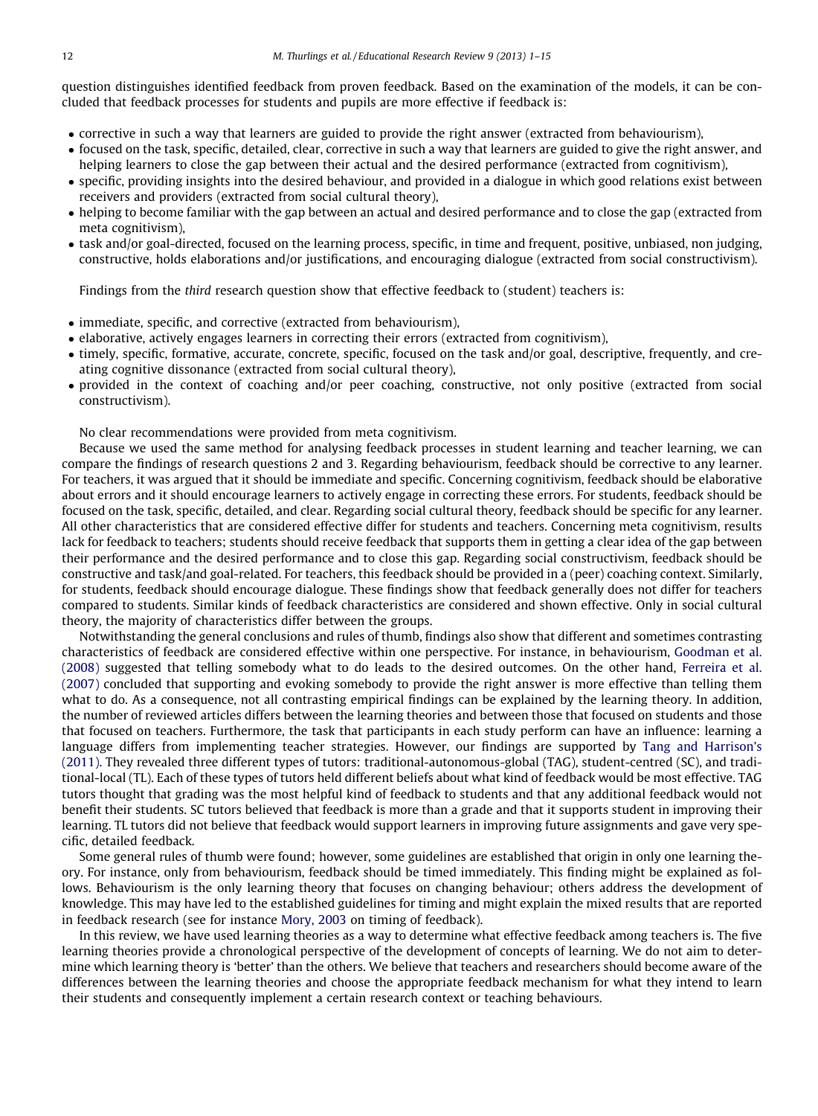question distinguishes identified feedback from proven feedback. Based on the examination of the models, it can be concluded that feedback processes for students and pupils are more effective if feedback is:

- corrective in such a way that learners are guided to provide the right answer (extracted from behaviourism),
- focused on the task, specific, detailed, clear, corrective in such a way that learners are guided to give the right answer, and helping learners to close the gap between their actual and the desired performance (extracted from cognitivism),
- specific, providing insights into the desired behaviour, and provided in a dialogue in which good relations exist between receivers and providers (extracted from social cultural theory),
- helping to become familiar with the gap between an actual and desired performance and to close the gap (extracted from meta cognitivism),
- task and/or goal-directed, focused on the learning process, specific, in time and frequent, positive, unbiased, non judging, constructive, holds elaborations and/or justifications, and encouraging dialogue (extracted from social constructivism).

Findings from the third research question show that effective feedback to (student) teachers is:

- immediate, specific, and corrective (extracted from behaviourism),
- $\bullet$  elaborative, actively engages learners in correcting their errors (extracted from cognitivism),
- timely, specific, formative, accurate, concrete, specific, focused on the task and/or goal, descriptive, frequently, and creating cognitive dissonance (extracted from social cultural theory),
- provided in the context of coaching and/or peer coaching, constructive, not only positive (extracted from social constructivism).

No clear recommendations were provided from meta cognitivism.

Because we used the same method for analysing feedback processes in student learning and teacher learning, we can compare the findings of research questions 2 and 3. Regarding behaviourism, feedback should be corrective to any learner. For teachers, it was argued that it should be immediate and specific. Concerning cognitivism, feedback should be elaborative about errors and it should encourage learners to actively engage in correcting these errors. For students, feedback should be focused on the task, specific, detailed, and clear. Regarding social cultural theory, feedback should be specific for any learner. All other characteristics that are considered effective differ for students and teachers. Concerning meta cognitivism, results lack for feedback to teachers; students should receive feedback that supports them in getting a clear idea of the gap between their performance and the desired performance and to close this gap. Regarding social constructivism, feedback should be constructive and task/and goal-related. For teachers, this feedback should be provided in a (peer) coaching context. Similarly, for students, feedback should encourage dialogue. These findings show that feedback generally does not differ for teachers compared to students. Similar kinds of feedback characteristics are considered and shown effective. Only in social cultural theory, the majority of characteristics differ between the groups.

Notwithstanding the general conclusions and rules of thumb, findings also show that different and sometimes contrasting characteristics of feedback are considered effective within one perspective. For instance, in behaviourism, [Goodman et al.](#page-13-0) [\(2008\)](#page-13-0) suggested that telling somebody what to do leads to the desired outcomes. On the other hand, [Ferreira et al.](#page-13-0) [\(2007\)](#page-13-0) concluded that supporting and evoking somebody to provide the right answer is more effective than telling them what to do. As a consequence, not all contrasting empirical findings can be explained by the learning theory. In addition, the number of reviewed articles differs between the learning theories and between those that focused on students and those that focused on teachers. Furthermore, the task that participants in each study perform can have an influence: learning a language differs from implementing teacher strategies. However, our findings are supported by [Tang and Harrison's](#page-14-0) [\(2011\)](#page-14-0). They revealed three different types of tutors: traditional-autonomous-global (TAG), student-centred (SC), and traditional-local (TL). Each of these types of tutors held different beliefs about what kind of feedback would be most effective. TAG tutors thought that grading was the most helpful kind of feedback to students and that any additional feedback would not benefit their students. SC tutors believed that feedback is more than a grade and that it supports student in improving their learning. TL tutors did not believe that feedback would support learners in improving future assignments and gave very specific, detailed feedback.

Some general rules of thumb were found; however, some guidelines are established that origin in only one learning theory. For instance, only from behaviourism, feedback should be timed immediately. This finding might be explained as follows. Behaviourism is the only learning theory that focuses on changing behaviour; others address the development of knowledge. This may have led to the established guidelines for timing and might explain the mixed results that are reported in feedback research (see for instance [Mory, 2003](#page-13-0) on timing of feedback).

In this review, we have used learning theories as a way to determine what effective feedback among teachers is. The five learning theories provide a chronological perspective of the development of concepts of learning. We do not aim to determine which learning theory is 'better' than the others. We believe that teachers and researchers should become aware of the differences between the learning theories and choose the appropriate feedback mechanism for what they intend to learn their students and consequently implement a certain research context or teaching behaviours.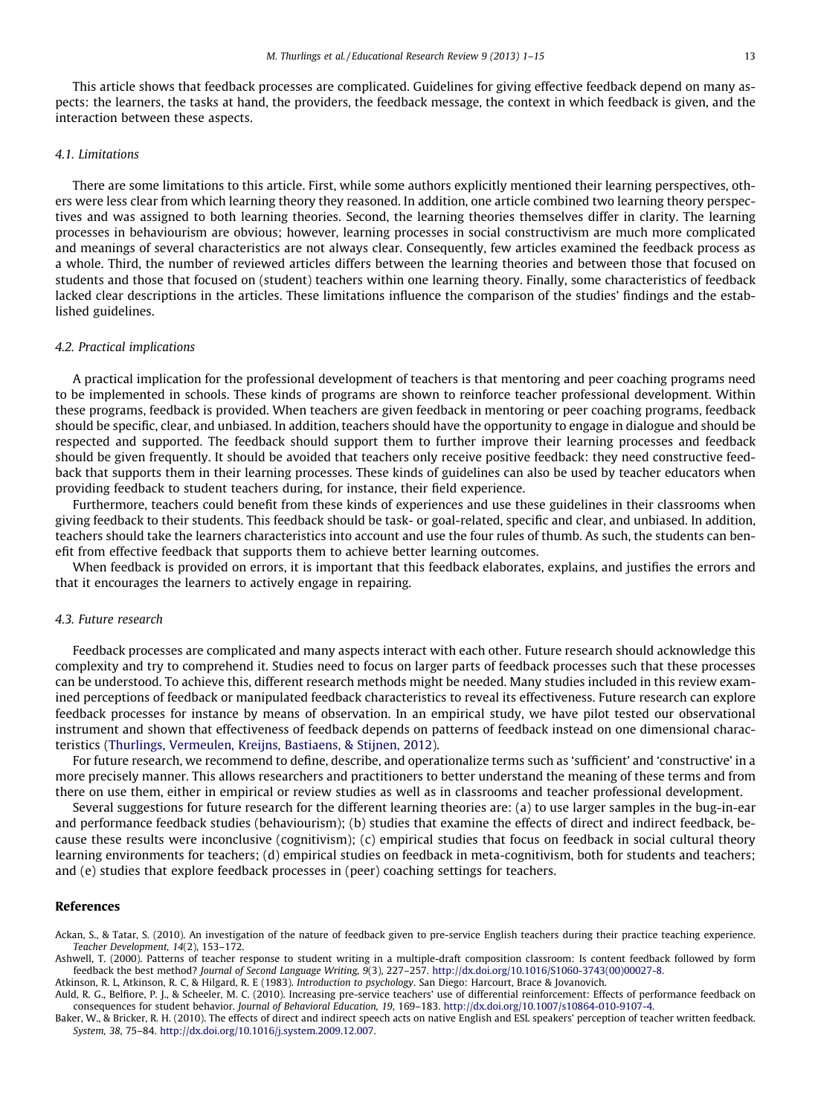<span id="page-12-0"></span>This article shows that feedback processes are complicated. Guidelines for giving effective feedback depend on many aspects: the learners, the tasks at hand, the providers, the feedback message, the context in which feedback is given, and the interaction between these aspects.

# 4.1. Limitations

There are some limitations to this article. First, while some authors explicitly mentioned their learning perspectives, others were less clear from which learning theory they reasoned. In addition, one article combined two learning theory perspectives and was assigned to both learning theories. Second, the learning theories themselves differ in clarity. The learning processes in behaviourism are obvious; however, learning processes in social constructivism are much more complicated and meanings of several characteristics are not always clear. Consequently, few articles examined the feedback process as a whole. Third, the number of reviewed articles differs between the learning theories and between those that focused on students and those that focused on (student) teachers within one learning theory. Finally, some characteristics of feedback lacked clear descriptions in the articles. These limitations influence the comparison of the studies' findings and the established guidelines.

# 4.2. Practical implications

A practical implication for the professional development of teachers is that mentoring and peer coaching programs need to be implemented in schools. These kinds of programs are shown to reinforce teacher professional development. Within these programs, feedback is provided. When teachers are given feedback in mentoring or peer coaching programs, feedback should be specific, clear, and unbiased. In addition, teachers should have the opportunity to engage in dialogue and should be respected and supported. The feedback should support them to further improve their learning processes and feedback should be given frequently. It should be avoided that teachers only receive positive feedback: they need constructive feedback that supports them in their learning processes. These kinds of guidelines can also be used by teacher educators when providing feedback to student teachers during, for instance, their field experience.

Furthermore, teachers could benefit from these kinds of experiences and use these guidelines in their classrooms when giving feedback to their students. This feedback should be task- or goal-related, specific and clear, and unbiased. In addition, teachers should take the learners characteristics into account and use the four rules of thumb. As such, the students can benefit from effective feedback that supports them to achieve better learning outcomes.

When feedback is provided on errors, it is important that this feedback elaborates, explains, and justifies the errors and that it encourages the learners to actively engage in repairing.

#### 4.3. Future research

Feedback processes are complicated and many aspects interact with each other. Future research should acknowledge this complexity and try to comprehend it. Studies need to focus on larger parts of feedback processes such that these processes can be understood. To achieve this, different research methods might be needed. Many studies included in this review examined perceptions of feedback or manipulated feedback characteristics to reveal its effectiveness. Future research can explore feedback processes for instance by means of observation. In an empirical study, we have pilot tested our observational instrument and shown that effectiveness of feedback depends on patterns of feedback instead on one dimensional characteristics [\(Thurlings, Vermeulen, Kreijns, Bastiaens, & Stijnen, 2012\)](#page-14-0).

For future research, we recommend to define, describe, and operationalize terms such as 'sufficient' and 'constructive' in a more precisely manner. This allows researchers and practitioners to better understand the meaning of these terms and from there on use them, either in empirical or review studies as well as in classrooms and teacher professional development.

Several suggestions for future research for the different learning theories are: (a) to use larger samples in the bug-in-ear and performance feedback studies (behaviourism); (b) studies that examine the effects of direct and indirect feedback, because these results were inconclusive (cognitivism); (c) empirical studies that focus on feedback in social cultural theory learning environments for teachers; (d) empirical studies on feedback in meta-cognitivism, both for students and teachers; and (e) studies that explore feedback processes in (peer) coaching settings for teachers.

#### References

Ackan, S., & Tatar, S. (2010). An investigation of the nature of feedback given to pre-service English teachers during their practice teaching experience. Teacher Development, 14(2), 153–172.

Ashwell, T. (2000). Patterns of teacher response to student writing in a multiple-draft composition classroom: Is content feedback followed by form feedback the best method? Journal of Second Language Writing, 9(3), 227–257. http://dx.doi.org/[10.1016/S1060-3743\(00\)00027-8.](http://dx.doi.org/10.1016/S1060-3743(00)00027-8) Atkinson, R. L, Atkinson, R. C, & Hilgard, R. E (1983). Introduction to psychology. San Diego: Harcourt, Brace & Jovanovich.

Auld, R. G., Belfiore, P. J., & Scheeler, M. C. (2010). Increasing pre-service teachers' use of differential reinforcement: Effects of performance feedback on consequences for student behavior. Journal of Behavioral Education, 19, 169–183. http://dx.doi.org/[10.1007/s10864-010-9107-4.](http://dx.doi.org/10.1007/s10864-010-9107-4)

Baker, W., & Bricker, R. H. (2010). The effects of direct and indirect speech acts on native English and ESL speakers' perception of teacher written feedback. System, 38, 75–84. http://dx.doi.org/[10.1016/j.system.2009.12.007.](http://dx.doi.org/10.1016/j.system.2009.12.007)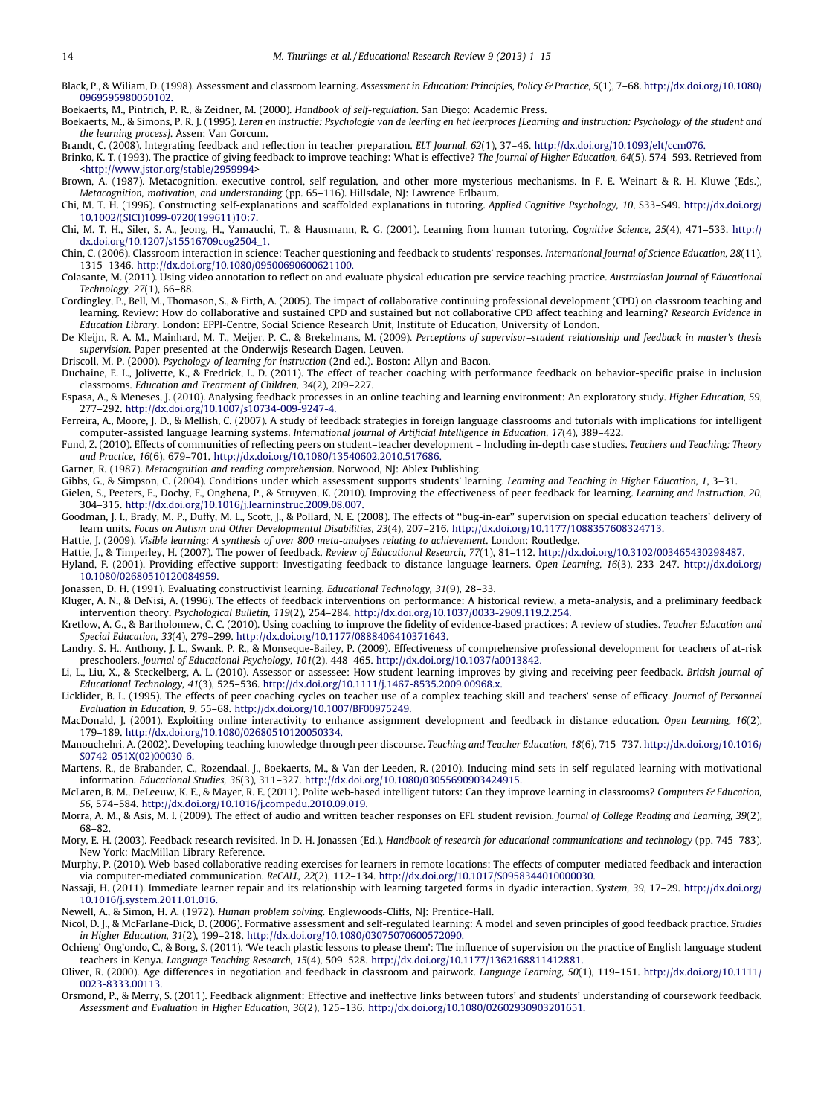<span id="page-13-0"></span>Black, P., & Wiliam, D. (1998). Assessment and classroom learning. Assessment in Education: Principles, Policy & Practice, 5(1), 7–68. http://dx.doi.org/[10.1080/](http://dx.doi.org/10.1080/0969595980050102) [0969595980050102.](http://dx.doi.org/10.1080/0969595980050102)

Boekaerts, M., Pintrich, P. R., & Zeidner, M. (2000). Handbook of self-regulation. San Diego: Academic Press.

Boekaerts, M., & Simons, P. R. J. (1995). Leren en instructie: Psychologie van de leerling en het leerproces [Learning and instruction: Psychology of the student and the learning process]. Assen: Van Gorcum.

Brandt, C. (2008). Integrating feedback and reflection in teacher preparation. ELT Journal, 62(1), 37–46. http://dx.doi.org/[10.1093/elt/ccm076.](http://dx.doi.org/10.1093/elt/ccm076)

Brinko, K. T. (1993). The practice of giving feedback to improve teaching: What is effective? The Journal of Higher Education, 64(5), 574-593. Retrieved from <<http://www.jstor.org/stable/2959994>>

- Brown, A. (1987). Metacognition, executive control, self-regulation, and other more mysterious mechanisms. In F. E. Weinart & R. H. Kluwe (Eds.), Metacognition, motivation, and understanding (pp. 65–116). Hillsdale, NJ: Lawrence Erlbaum.
- Chi, M. T. H. (1996). Constructing self-explanations and scaffolded explanations in tutoring. Applied Cognitive Psychology, 10, S33–S49. http://dx.doi.org/ [10.1002/\(SICI\)1099-0720\(199611\)10:7.](http://dx.doi.org/10.1002/(SICI)1099-0720(199611)10:7)
- Chi, M. T. H., Siler, S. A., Jeong, H., Yamauchi, T., & Hausmann, R. G. (2001). Learning from human tutoring. Cognitive Science, 25(4), 471–533. http:// dx.doi.org[/10.1207/s15516709cog2504\\_1.](http://dx.doi.org/10.1207/s15516709cog2504_1)
- Chin, C. (2006). Classroom interaction in science: Teacher questioning and feedback to students' responses. International Journal of Science Education, 28(11), 1315–1346. http://dx.doi.org[/10.1080/09500690600621100.](http://dx.doi.org/10.1080/09500690600621100)
- Colasante, M. (2011). Using video annotation to reflect on and evaluate physical education pre-service teaching practice. Australasian Journal of Educational Technology, 27(1), 66–88.
- Cordingley, P., Bell, M., Thomason, S., & Firth, A. (2005). The impact of collaborative continuing professional development (CPD) on classroom teaching and learning. Review: How do collaborative and sustained CPD and sustained but not collaborative CPD affect teaching and learning? Research Evidence in Education Library. London: EPPI-Centre, Social Science Research Unit, Institute of Education, University of London.
- De Kleijn, R. A. M., Mainhard, M. T., Meijer, P. C., & Brekelmans, M. (2009). Perceptions of supervisor–student relationship and feedback in master's thesis supervision. Paper presented at the Onderwijs Research Dagen, Leuven.
- Driscoll, M. P. (2000). Psychology of learning for instruction (2nd ed.). Boston: Allyn and Bacon.

Duchaine, E. L., Jolivette, K., & Fredrick, L. D. (2011). The effect of teacher coaching with performance feedback on behavior-specific praise in inclusion classrooms. Education and Treatment of Children, 34(2), 209–227.

- Espasa, A., & Meneses, J. (2010). Analysing feedback processes in an online teaching and learning environment: An exploratory study. Higher Education, 59, 277–292. http://dx.doi.org/[10.1007/s10734-009-9247-4.](http://dx.doi.org/10.1007/s10734-009-9247-4)
- Ferreira, A., Moore, J. D., & Mellish, C. (2007). A study of feedback strategies in foreign language classrooms and tutorials with implications for intelligent computer-assisted language learning systems. International Journal of Artificial Intelligence in Education, 17(4), 389–422.
- Fund, Z. (2010). Effects of communities of reflecting peers on student–teacher development Including in-depth case studies. Teachers and Teaching: Theory and Practice, 16(6), 679–701. http://dx.doi.org[/10.1080/13540602.2010.517686.](http://dx.doi.org/10.1080/13540602.2010.517686)
- Garner, R. (1987). Metacognition and reading comprehension. Norwood, NJ: Ablex Publishing.

Gibbs, G., & Simpson, C. (2004). Conditions under which assessment supports students' learning. Learning and Teaching in Higher Education, 1, 3–31.

- Gielen, S., Peeters, E., Dochy, F., Onghena, P., & Struyven, K. (2010). Improving the effectiveness of peer feedback for learning. Learning and Instruction, 20, 304–315. http://dx.doi.org/[10.1016/j.learninstruc.2009.08.007.](http://dx.doi.org/10.1016/j.learninstruc.2009.08.007)
- Goodman, J. I., Brady, M. P., Duffy, M. L., Scott, J., & Pollard, N. E. (2008). The effects of ''bug-in-ear'' supervision on special education teachers' delivery of learn units. Focus on Autism and Other Developmental Disabilities, 23(4), 207–216. http://dx.doi.org[/10.1177/1088357608324713.](http://dx.doi.org/10.1177/1088357608324713)
- Hattie, J. (2009). Visible learning: A synthesis of over 800 meta-analyses relating to achievement. London: Routledge.
- Hattie, J., & Timperley, H. (2007). The power of feedback. Review of Educational Research, 77(1), 81–112. http://dx.doi.org/[10.3102/003465430298487.](http://dx.doi.org/10.3102/003465430298487) Hyland, F. (2001). Providing effective support: Investigating feedback to distance language learners. Open Learning, 16(3), 233–247. http://dx.doi.org/ [10.1080/02680510120084959.](http://dx.doi.org/10.1080/02680510120084959)
- Jonassen, D. H. (1991). Evaluating constructivist learning. Educational Technology, 31(9), 28–33.
- Kluger, A. N., & DeNisi, A. (1996). The effects of feedback interventions on performance: A historical review, a meta-analysis, and a preliminary feedback intervention theory. Psychological Bulletin, 119(2), 254–284. http://dx.doi.org/[10.1037/0033-2909.119.2.254.](http://dx.doi.org/10.1037/0033-2909.119.2.254)
- Kretlow, A. G., & Bartholomew, C. C. (2010). Using coaching to improve the fidelity of evidence-based practices: A review of studies. Teacher Education and Special Education, 33(4), 279–299. http://dx.doi.org/[10.1177/0888406410371643.](http://dx.doi.org/10.1177/0888406410371643)
- Landry, S. H., Anthony, J. L., Swank, P. R., & Monseque-Bailey, P. (2009). Effectiveness of comprehensive professional development for teachers of at-risk preschoolers. Journal of Educational Psychology, 101(2), 448–465. http://dx.doi.org/[10.1037/a0013842.](http://dx.doi.org/10.1037/a0013842)
- Li, L., Liu, X., & Steckelberg, A. L. (2010). Assessor or assessee: How student learning improves by giving and receiving peer feedback. British Journal of Educational Technology, 41(3), 525–536. http://dx.doi.org[/10.1111/j.1467-8535.2009.00968.x.](http://dx.doi.org/10.1111/j.1467-8535.2009.00968.x)
- Licklider, B. L. (1995). The effects of peer coaching cycles on teacher use of a complex teaching skill and teachers' sense of efficacy. Journal of Personnel Evaluation in Education, 9, 55–68. http://dx.doi.org[/10.1007/BF00975249.](http://dx.doi.org/10.1007/BF00975249)
- MacDonald, J. (2001). Exploiting online interactivity to enhance assignment development and feedback in distance education. Open Learning, 16(2), 179–189. http://dx.doi.org/[10.1080/02680510120050334.](http://dx.doi.org/10.1080/02680510120050334)
- Manouchehri, A. (2002). Developing teaching knowledge through peer discourse. Teaching and Teacher Education, 18(6), 715–737. http://dx.doi.org/[10.1016/](http://dx.doi.org/10.1016/S0742-051X(02)00030-6) [S0742-051X\(02\)00030-6.](http://dx.doi.org/10.1016/S0742-051X(02)00030-6)
- Martens, R., de Brabander, C., Rozendaal, J., Boekaerts, M., & Van der Leeden, R. (2010). Inducing mind sets in self-regulated learning with motivational information. Educational Studies, 36(3), 311–327. http://dx.doi.org[/10.1080/03055690903424915.](http://dx.doi.org/10.1080/03055690903424915)
- McLaren, B. M., DeLeeuw, K. E., & Mayer, R. E. (2011). Polite web-based intelligent tutors: Can they improve learning in classrooms? Computers & Education, 56, 574–584. http://dx.doi.org[/10.1016/j.compedu.2010.09.019.](http://dx.doi.org/10.1016/j.compedu.2010.09.019)
- Morra, A. M., & Asis, M. I. (2009). The effect of audio and written teacher responses on EFL student revision. Journal of College Reading and Learning, 39(2), 68–82.
- Mory, E. H. (2003). Feedback research revisited. In D. H. Jonassen (Ed.), Handbook of research for educational communications and technology (pp. 745–783). New York: MacMillan Library Reference.
- Murphy, P. (2010). Web-based collaborative reading exercises for learners in remote locations: The effects of computer-mediated feedback and interaction via computer-mediated communication. ReCALL, 22(2), 112–134. http://dx.doi.org[/10.1017/S0958344010000030.](http://dx.doi.org/10.1017/S0958344010000030)
- Nassaji, H. (2011). Immediate learner repair and its relationship with learning targeted forms in dyadic interaction. System, 39, 17–29. http://dx.doi.org/ [10.1016/j.system.2011.01.016.](http://dx.doi.org/10.1016/j.system.2011.01.016)
- Newell, A., & Simon, H. A. (1972). Human problem solving. Englewoods-Cliffs, NJ: Prentice-Hall.
- Nicol, D. J., & McFarlane-Dick, D. (2006). Formative assessment and self-regulated learning: A model and seven principles of good feedback practice. Studies in Higher Education, 31(2), 199–218. http://dx.doi.org/[10.1080/03075070600572090.](http://dx.doi.org/10.1080/03075070600572090)
- Ochieng' Ong'ondo, C., & Borg, S. (2011). 'We teach plastic lessons to please them': The influence of supervision on the practice of English language student teachers in Kenya. Language Teaching Research, 15(4), 509–528. http://dx.doi.org[/10.1177/1362168811412881.](http://dx.doi.org/10.1177/1362168811412881)
- Oliver, R. (2000). Age differences in negotiation and feedback in classroom and pairwork. Language Learning, 50(1), 119–151. http://dx.doi.org/[10.1111/](http://dx.doi.org/10.1111/0023-8333.00113) [0023-8333.00113.](http://dx.doi.org/10.1111/0023-8333.00113)
- Orsmond, P., & Merry, S. (2011). Feedback alignment: Effective and ineffective links between tutors' and students' understanding of coursework feedback. Assessment and Evaluation in Higher Education, 36(2), 125–136. http://dx.doi.org[/10.1080/02602930903201651.](http://dx.doi.org/10.1080/02602930903201651)